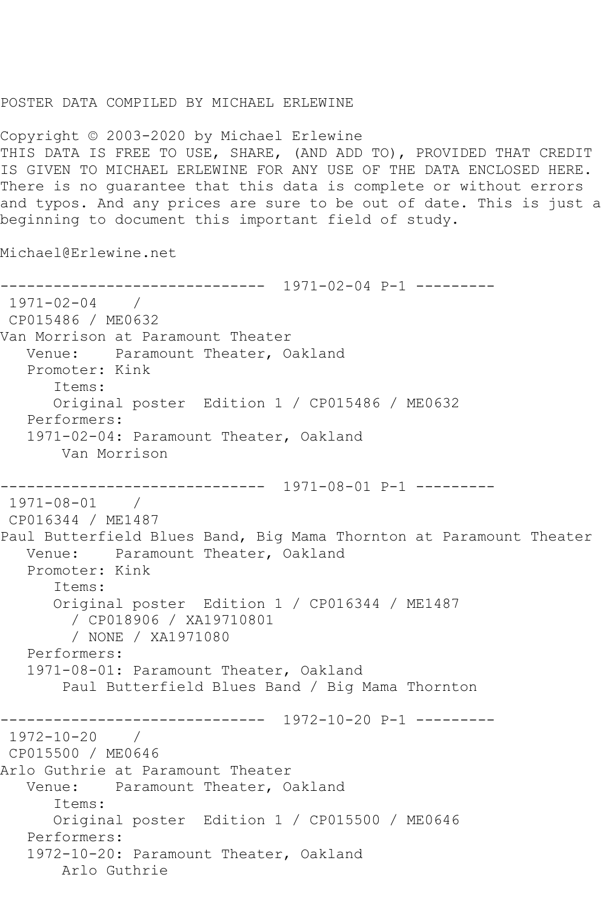## POSTER DATA COMPILED BY MICHAEL ERLEWINE

Copyright © 2003-2020 by Michael Erlewine THIS DATA IS FREE TO USE, SHARE, (AND ADD TO), PROVIDED THAT CREDIT IS GIVEN TO MICHAEL ERLEWINE FOR ANY USE OF THE DATA ENCLOSED HERE. There is no guarantee that this data is complete or without errors and typos. And any prices are sure to be out of date. This is just a beginning to document this important field of study.

Michael@Erlewine.net

------------------------------ 1971-02-04 P-1 --------- 1971-02-04 / CP015486 / ME0632 Van Morrison at Paramount Theater Venue: Paramount Theater, Oakland Promoter: Kink Items: Original poster Edition 1 / CP015486 / ME0632 Performers: 1971-02-04: Paramount Theater, Oakland Van Morrison ------------------------------ 1971-08-01 P-1 --------- 1971-08-01 / CP016344 / ME1487 Paul Butterfield Blues Band, Big Mama Thornton at Paramount Theater Venue: Paramount Theater, Oakland Promoter: Kink Items: Original poster Edition 1 / CP016344 / ME1487 / CP018906 / XA19710801 / NONE / XA1971080 Performers: 1971-08-01: Paramount Theater, Oakland Paul Butterfield Blues Band / Big Mama Thornton ------------------------------ 1972-10-20 P-1 --------- 1972-10-20 / CP015500 / ME0646 Arlo Guthrie at Paramount Theater Venue: Paramount Theater, Oakland Items: Original poster Edition 1 / CP015500 / ME0646 Performers: 1972-10-20: Paramount Theater, Oakland Arlo Guthrie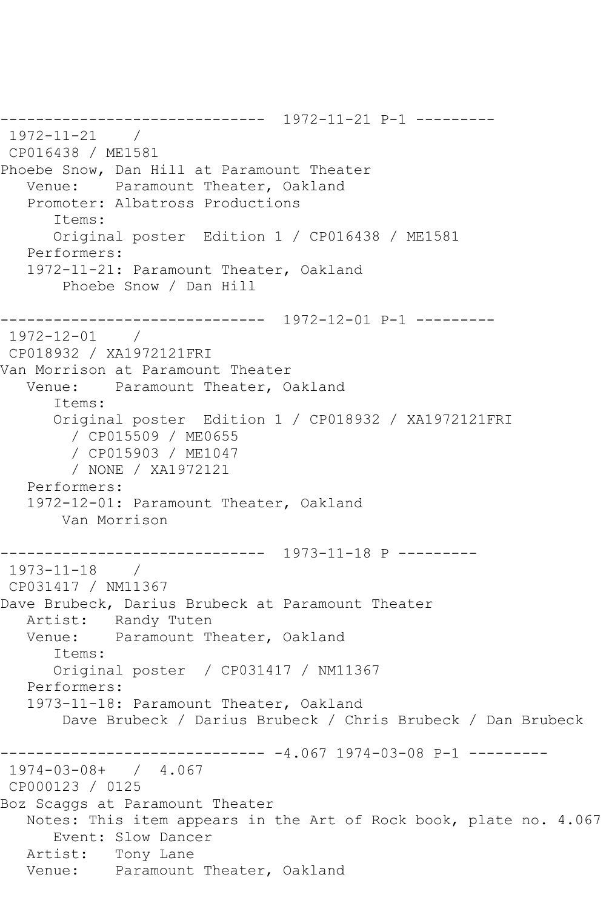------------------------------ 1972-11-21 P-1 --------- 1972-11-21 / CP016438 / ME1581 Phoebe Snow, Dan Hill at Paramount Theater Venue: Paramount Theater, Oakland Promoter: Albatross Productions Items: Original poster Edition 1 / CP016438 / ME1581 Performers: 1972-11-21: Paramount Theater, Oakland Phoebe Snow / Dan Hill ------------------------------ 1972-12-01 P-1 --------- 1972-12-01 / CP018932 / XA1972121FRI Van Morrison at Paramount Theater Venue: Paramount Theater, Oakland Items: Original poster Edition 1 / CP018932 / XA1972121FRI / CP015509 / ME0655 / CP015903 / ME1047 / NONE / XA1972121 Performers: 1972-12-01: Paramount Theater, Oakland Van Morrison ------------------------------ 1973-11-18 P --------- 1973-11-18 / CP031417 / NM11367 Dave Brubeck, Darius Brubeck at Paramount Theater Artist: Randy Tuten<br>Venue: Paramount Th Paramount Theater, Oakland Items: Original poster / CP031417 / NM11367 Performers: 1973-11-18: Paramount Theater, Oakland Dave Brubeck / Darius Brubeck / Chris Brubeck / Dan Brubeck ------------------------------ -4.067 1974-03-08 P-1 --------- 1974-03-08+ / 4.067 CP000123 / 0125 Boz Scaggs at Paramount Theater Notes: This item appears in the Art of Rock book, plate no. 4.067 Event: Slow Dancer Artist: Tony Lane Venue: Paramount Theater, Oakland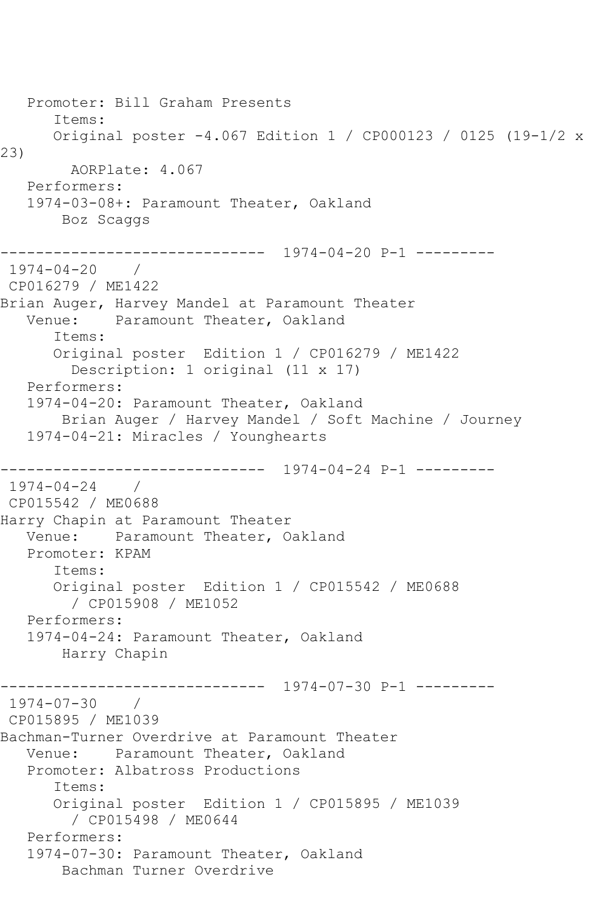```
 Promoter: Bill Graham Presents
       Items:
       Original poster -4.067 Edition 1 / CP000123 / 0125 (19-1/2 x 
23)
         AORPlate: 4.067 
   Performers:
    1974-03-08+: Paramount Theater, Oakland
        Boz Scaggs
                ------------------------------ 1974-04-20 P-1 ---------
1974-04-20 / 
CP016279 / ME1422
Brian Auger, Harvey Mandel at Paramount Theater<br>Venue: Paramount Theater, Oakland
           Paramount Theater, Oakland
       Items:
       Original poster Edition 1 / CP016279 / ME1422
         Description: 1 original (11 x 17)
    Performers:
    1974-04-20: Paramount Theater, Oakland
        Brian Auger / Harvey Mandel / Soft Machine / Journey
    1974-04-21: Miracles / Younghearts
                ------------------------------ 1974-04-24 P-1 ---------
1974-04-24 / 
CP015542 / ME0688
Harry Chapin at Paramount Theater
   Venue: Paramount Theater, Oakland
   Promoter: KPAM
       Items:
       Original poster Edition 1 / CP015542 / ME0688
         / CP015908 / ME1052
    Performers:
    1974-04-24: Paramount Theater, Oakland
        Harry Chapin
------------------------------ 1974-07-30 P-1 ---------
1974-07-30 / 
CP015895 / ME1039
Bachman-Turner Overdrive at Paramount Theater
   Venue: Paramount Theater, Oakland
    Promoter: Albatross Productions
       Items:
       Original poster Edition 1 / CP015895 / ME1039
         / CP015498 / ME0644
    Performers:
    1974-07-30: Paramount Theater, Oakland
        Bachman Turner Overdrive
```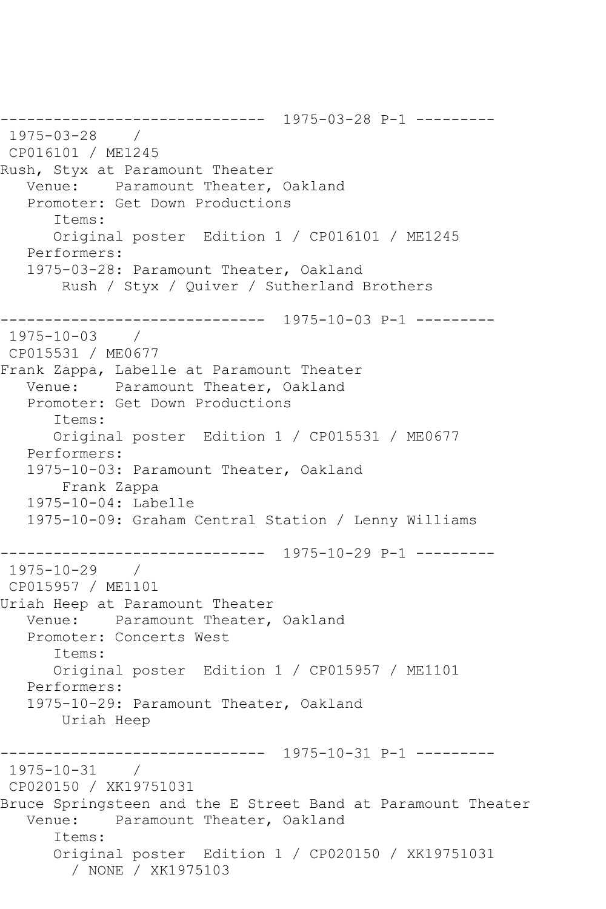------------------------------ 1975-03-28 P-1 --------- 1975-03-28 / CP016101 / ME1245 Rush, Styx at Paramount Theater Venue: Paramount Theater, Oakland Promoter: Get Down Productions Items: Original poster Edition 1 / CP016101 / ME1245 Performers: 1975-03-28: Paramount Theater, Oakland Rush / Styx / Quiver / Sutherland Brothers ------------------------------ 1975-10-03 P-1 --------- 1975-10-03 / CP015531 / ME0677 Frank Zappa, Labelle at Paramount Theater Venue: Paramount Theater, Oakland Promoter: Get Down Productions Items: Original poster Edition 1 / CP015531 / ME0677 Performers: 1975-10-03: Paramount Theater, Oakland Frank Zappa 1975-10-04: Labelle 1975-10-09: Graham Central Station / Lenny Williams ------------------------------ 1975-10-29 P-1 --------- 1975-10-29 / CP015957 / ME1101 Uriah Heep at Paramount Theater Venue: Paramount Theater, Oakland Promoter: Concerts West Items: Original poster Edition 1 / CP015957 / ME1101 Performers: 1975-10-29: Paramount Theater, Oakland Uriah Heep ------------------------------ 1975-10-31 P-1 --------- 1975-10-31 / CP020150 / XK19751031 Bruce Springsteen and the E Street Band at Paramount Theater Venue: Paramount Theater, Oakland Items: Original poster Edition 1 / CP020150 / XK19751031 / NONE / XK1975103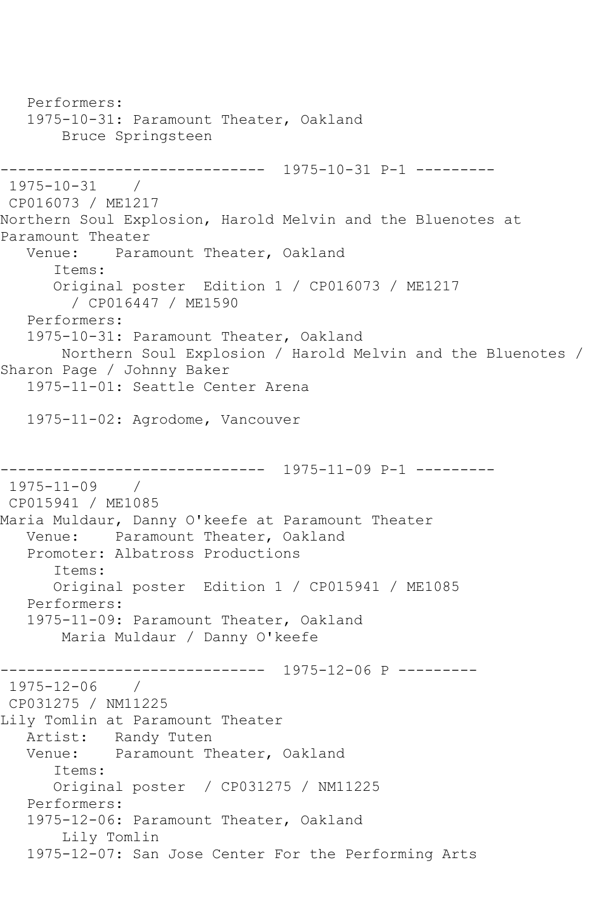```
 Performers:
   1975-10-31: Paramount Theater, Oakland
        Bruce Springsteen
------------------------------ 1975-10-31 P-1 ---------
1975-10-31 / 
CP016073 / ME1217
Northern Soul Explosion, Harold Melvin and the Bluenotes at 
Paramount Theater
   Venue: Paramount Theater, Oakland
       Items:
       Original poster Edition 1 / CP016073 / ME1217
         / CP016447 / ME1590
   Performers:
    1975-10-31: Paramount Theater, Oakland
        Northern Soul Explosion / Harold Melvin and the Bluenotes / 
Sharon Page / Johnny Baker
   1975-11-01: Seattle Center Arena
    1975-11-02: Agrodome, Vancouver
------------------------------ 1975-11-09 P-1 ---------
1975-11-09
CP015941 / ME1085
Maria Muldaur, Danny O'keefe at Paramount Theater
   Venue: Paramount Theater, Oakland
   Promoter: Albatross Productions
       Items:
       Original poster Edition 1 / CP015941 / ME1085
   Performers:
   1975-11-09: Paramount Theater, Oakland
        Maria Muldaur / Danny O'keefe
                ------------------------------ 1975-12-06 P ---------
1975-12-06 / 
CP031275 / NM11225
Lily Tomlin at Paramount Theater
  Artist: Randy Tuten<br>Venue: Paramount T
           Paramount Theater, Oakland
       Items:
       Original poster / CP031275 / NM11225
   Performers:
   1975-12-06: Paramount Theater, Oakland
        Lily Tomlin
    1975-12-07: San Jose Center For the Performing Arts
```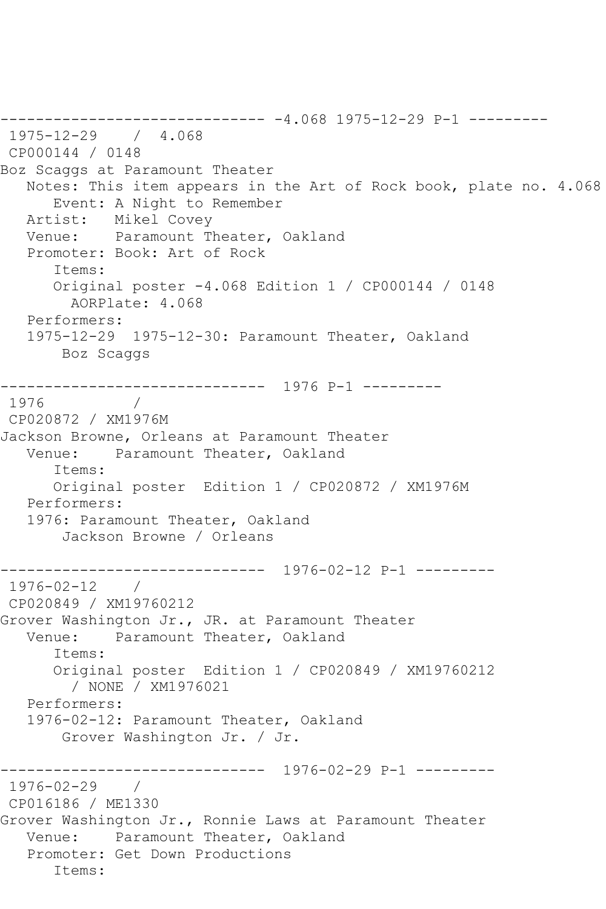------------------------------ -4.068 1975-12-29 P-1 --------- 1975-12-29 / 4.068 CP000144 / 0148 Boz Scaggs at Paramount Theater Notes: This item appears in the Art of Rock book, plate no. 4.068 Event: A Night to Remember Artist: Mikel Covey Venue: Paramount Theater, Oakland Promoter: Book: Art of Rock Items: Original poster -4.068 Edition 1 / CP000144 / 0148 AORPlate: 4.068 Performers: 1975-12-29 1975-12-30: Paramount Theater, Oakland Boz Scaggs ------------------------------ 1976 P-1 --------- 1976 CP020872 / XM1976M Jackson Browne, Orleans at Paramount Theater Venue: Paramount Theater, Oakland Items: Original poster Edition 1 / CP020872 / XM1976M Performers: 1976: Paramount Theater, Oakland Jackson Browne / Orleans ------------------------------ 1976-02-12 P-1 --------- 1976-02-12 / CP020849 / XM19760212 Grover Washington Jr., JR. at Paramount Theater Venue: Paramount Theater, Oakland Items: Original poster Edition 1 / CP020849 / XM19760212 / NONE / XM1976021 Performers: 1976-02-12: Paramount Theater, Oakland Grover Washington Jr. / Jr. ------------------------------ 1976-02-29 P-1 --------- 1976-02-29 / CP016186 / ME1330 Grover Washington Jr., Ronnie Laws at Paramount Theater Venue: Paramount Theater, Oakland Promoter: Get Down Productions Items: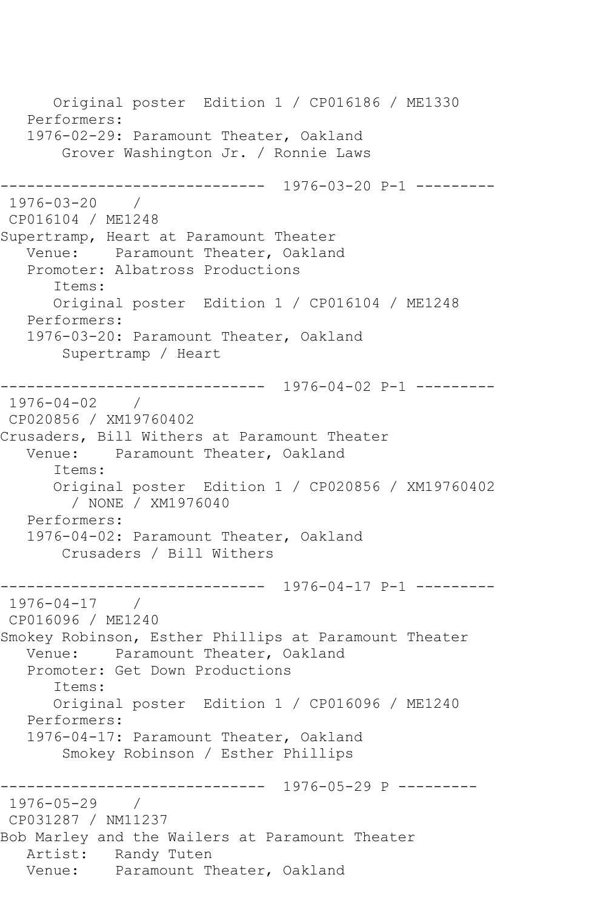Original poster Edition 1 / CP016186 / ME1330 Performers: 1976-02-29: Paramount Theater, Oakland Grover Washington Jr. / Ronnie Laws ------------------------------ 1976-03-20 P-1 --------- 1976-03-20 / CP016104 / ME1248 Supertramp, Heart at Paramount Theater Venue: Paramount Theater, Oakland Promoter: Albatross Productions Items: Original poster Edition 1 / CP016104 / ME1248 Performers: 1976-03-20: Paramount Theater, Oakland Supertramp / Heart ------------------------------ 1976-04-02 P-1 --------- 1976-04-02 / CP020856 / XM19760402 Crusaders, Bill Withers at Paramount Theater Venue: Paramount Theater, Oakland Items: Original poster Edition 1 / CP020856 / XM19760402 / NONE / XM1976040 Performers: 1976-04-02: Paramount Theater, Oakland Crusaders / Bill Withers ------------------------------ 1976-04-17 P-1 --------- 1976-04-17 / CP016096 / ME1240 Smokey Robinson, Esther Phillips at Paramount Theater Venue: Paramount Theater, Oakland Promoter: Get Down Productions Items: Original poster Edition 1 / CP016096 / ME1240 Performers: 1976-04-17: Paramount Theater, Oakland Smokey Robinson / Esther Phillips ------------------------------ 1976-05-29 P --------- 1976-05-29 / CP031287 / NM11237 Bob Marley and the Wailers at Paramount Theater Artist: Randy Tuten Venue: Paramount Theater, Oakland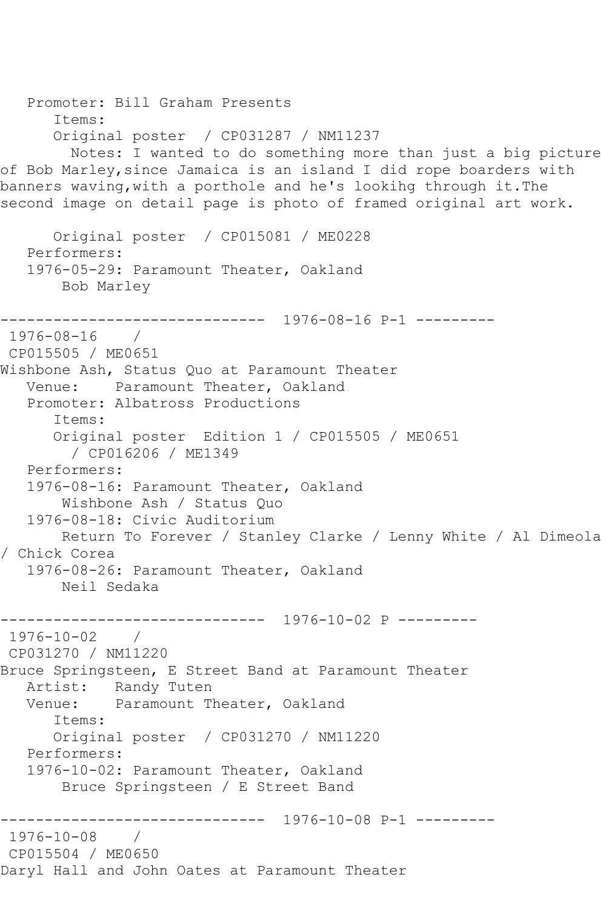```
 Promoter: Bill Graham Presents
       Items:
       Original poster / CP031287 / NM11237
         Notes: I wanted to do something more than just a big picture 
of Bob Marley,since Jamaica is an island I did rope boarders with 
banners waving,with a porthole and he's lookihg through it.The 
second image on detail page is photo of framed original art work.
       Original poster / CP015081 / ME0228
   Performers:
    1976-05-29: Paramount Theater, Oakland
        Bob Marley
------------------------------ 1976-08-16 P-1 ---------
1976-08-16 / 
CP015505 / ME0651
Wishbone Ash, Status Quo at Paramount Theater
   Venue: Paramount Theater, Oakland
    Promoter: Albatross Productions
       Items:
       Original poster Edition 1 / CP015505 / ME0651
         / CP016206 / ME1349
   Performers:
   1976-08-16: Paramount Theater, Oakland
        Wishbone Ash / Status Quo
    1976-08-18: Civic Auditorium
        Return To Forever / Stanley Clarke / Lenny White / Al Dimeola 
/ Chick Corea
   1976-08-26: Paramount Theater, Oakland
        Neil Sedaka
                ------------------------------ 1976-10-02 P ---------
1976-10-02 / 
CP031270 / NM11220
Bruce Springsteen, E Street Band at Paramount Theater
  Artist: Randy Tuten<br>Venue: Paramount T
            Paramount Theater, Oakland
       Items:
       Original poster / CP031270 / NM11220
   Performers:
   1976-10-02: Paramount Theater, Oakland
        Bruce Springsteen / E Street Band
           ------------------------------ 1976-10-08 P-1 ---------
1976-10-08 / 
CP015504 / ME0650
Daryl Hall and John Oates at Paramount Theater
```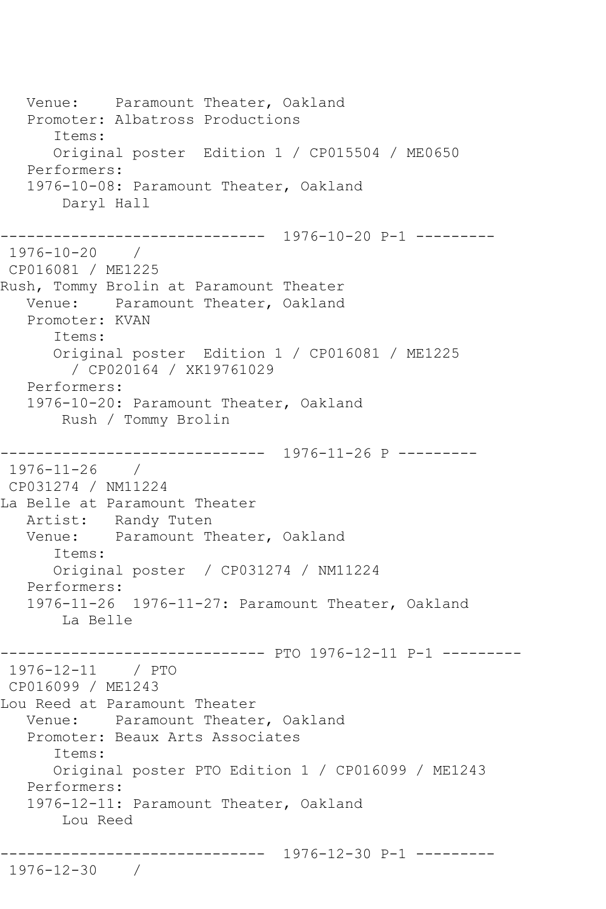Venue: Paramount Theater, Oakland Promoter: Albatross Productions Items: Original poster Edition 1 / CP015504 / ME0650 Performers: 1976-10-08: Paramount Theater, Oakland Daryl Hall ------------------------------ 1976-10-20 P-1 --------- 1976-10-20 / CP016081 / ME1225 Rush, Tommy Brolin at Paramount Theater Venue: Paramount Theater, Oakland Promoter: KVAN Items: Original poster Edition 1 / CP016081 / ME1225 / CP020164 / XK19761029 Performers: 1976-10-20: Paramount Theater, Oakland Rush / Tommy Brolin ------------------------------ 1976-11-26 P --------- 1976-11-26 / CP031274 / NM11224 La Belle at Paramount Theater Artist: Randy Tuten Venue: Paramount Theater, Oakland Items: Original poster / CP031274 / NM11224 Performers: 1976-11-26 1976-11-27: Paramount Theater, Oakland La Belle ------------------------------ PTO 1976-12-11 P-1 --------- 1976-12-11 / PTO CP016099 / ME1243 Lou Reed at Paramount Theater Venue: Paramount Theater, Oakland Promoter: Beaux Arts Associates Items: Original poster PTO Edition 1 / CP016099 / ME1243 Performers: 1976-12-11: Paramount Theater, Oakland Lou Reed ------------------------------ 1976-12-30 P-1 --------- 1976-12-30 /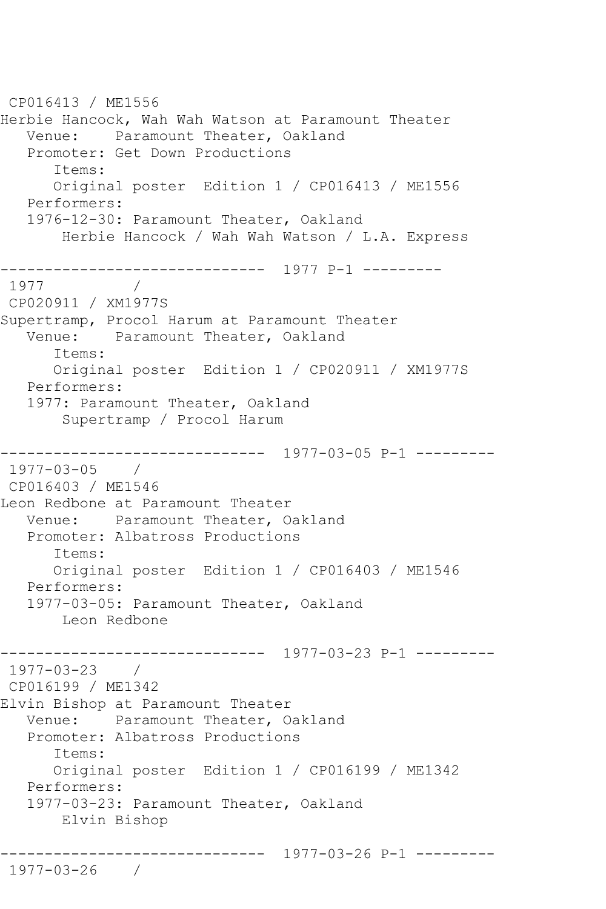CP016413 / ME1556 Herbie Hancock, Wah Wah Watson at Paramount Theater Venue: Paramount Theater, Oakland Promoter: Get Down Productions Items: Original poster Edition 1 / CP016413 / ME1556 Performers: 1976-12-30: Paramount Theater, Oakland Herbie Hancock / Wah Wah Watson / L.A. Express ------------------------------ 1977 P-1 --------- 1977 / CP020911 / XM1977S Supertramp, Procol Harum at Paramount Theater Venue: Paramount Theater, Oakland Items: Original poster Edition 1 / CP020911 / XM1977S Performers: 1977: Paramount Theater, Oakland Supertramp / Procol Harum ------------------------------ 1977-03-05 P-1 --------- 1977-03-05 / CP016403 / ME1546 Leon Redbone at Paramount Theater Venue: Paramount Theater, Oakland Promoter: Albatross Productions Items: Original poster Edition 1 / CP016403 / ME1546 Performers: 1977-03-05: Paramount Theater, Oakland Leon Redbone ------------------------------ 1977-03-23 P-1 --------- 1977-03-23 / CP016199 / ME1342 Elvin Bishop at Paramount Theater Venue: Paramount Theater, Oakland Promoter: Albatross Productions Items: Original poster Edition 1 / CP016199 / ME1342 Performers: 1977-03-23: Paramount Theater, Oakland Elvin Bishop ------------------------------ 1977-03-26 P-1 --------- 1977-03-26 /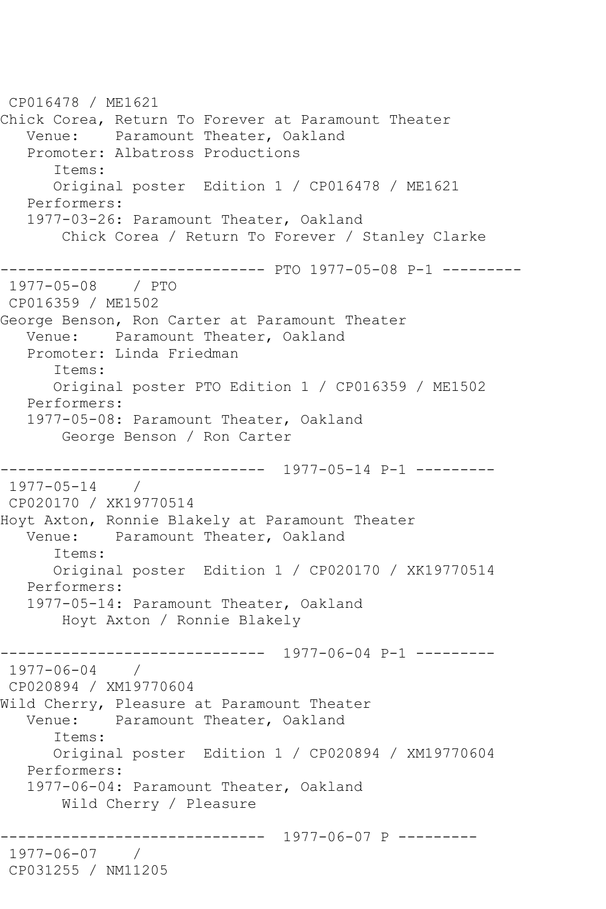CP016478 / ME1621 Chick Corea, Return To Forever at Paramount Theater Venue: Paramount Theater, Oakland Promoter: Albatross Productions Items: Original poster Edition 1 / CP016478 / ME1621 Performers: 1977-03-26: Paramount Theater, Oakland Chick Corea / Return To Forever / Stanley Clarke ------------------------------ PTO 1977-05-08 P-1 --------- 1977-05-08 / PTO CP016359 / ME1502 George Benson, Ron Carter at Paramount Theater Venue: Paramount Theater, Oakland Promoter: Linda Friedman Items: Original poster PTO Edition 1 / CP016359 / ME1502 Performers: 1977-05-08: Paramount Theater, Oakland George Benson / Ron Carter ------------------------------ 1977-05-14 P-1 --------- 1977-05-14 / CP020170 / XK19770514 Hoyt Axton, Ronnie Blakely at Paramount Theater Paramount Theater, Oakland Items: Original poster Edition 1 / CP020170 / XK19770514 Performers: 1977-05-14: Paramount Theater, Oakland Hoyt Axton / Ronnie Blakely ------------------------------ 1977-06-04 P-1 --------- 1977-06-04 / CP020894 / XM19770604 Wild Cherry, Pleasure at Paramount Theater Venue: Paramount Theater, Oakland Items: Original poster Edition 1 / CP020894 / XM19770604 Performers: 1977-06-04: Paramount Theater, Oakland Wild Cherry / Pleasure ------------------------------ 1977-06-07 P --------- 1977-06-07 / CP031255 / NM11205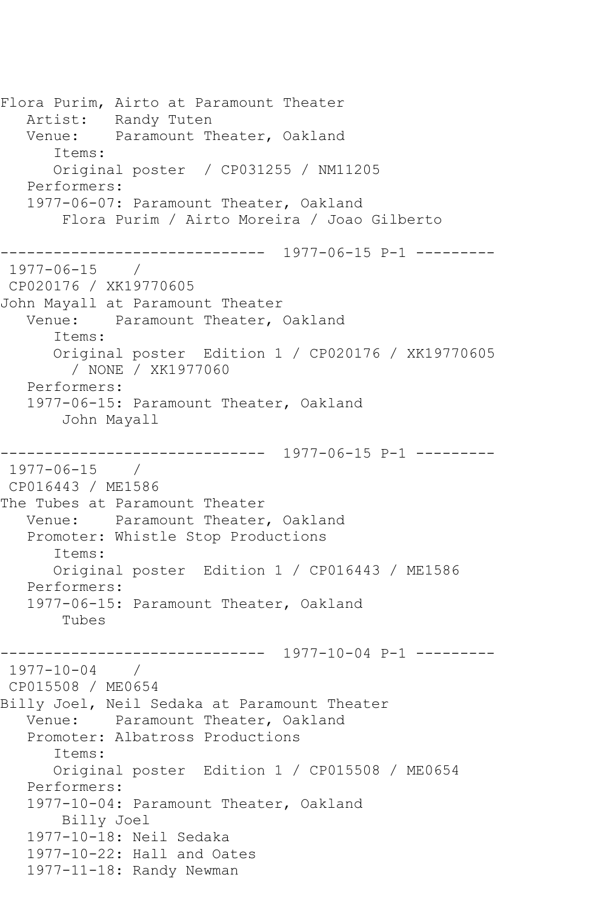Flora Purim, Airto at Paramount Theater Artist: Randy Tuten Venue: Paramount Theater, Oakland Items: Original poster / CP031255 / NM11205 Performers: 1977-06-07: Paramount Theater, Oakland Flora Purim / Airto Moreira / Joao Gilberto ------------------------------ 1977-06-15 P-1 --------- 1977-06-15 / CP020176 / XK19770605 John Mayall at Paramount Theater Venue: Paramount Theater, Oakland Items: Original poster Edition 1 / CP020176 / XK19770605 / NONE / XK1977060 Performers: 1977-06-15: Paramount Theater, Oakland John Mayall ------------------------------ 1977-06-15 P-1 --------- 1977-06-15 / CP016443 / ME1586 The Tubes at Paramount Theater Venue: Paramount Theater, Oakland Promoter: Whistle Stop Productions Items: Original poster Edition 1 / CP016443 / ME1586 Performers: 1977-06-15: Paramount Theater, Oakland Tubes ------------------------------ 1977-10-04 P-1 --------- 1977-10-04 / CP015508 / ME0654 Billy Joel, Neil Sedaka at Paramount Theater Venue: Paramount Theater, Oakland Promoter: Albatross Productions Items: Original poster Edition 1 / CP015508 / ME0654 Performers: 1977-10-04: Paramount Theater, Oakland Billy Joel 1977-10-18: Neil Sedaka 1977-10-22: Hall and Oates 1977-11-18: Randy Newman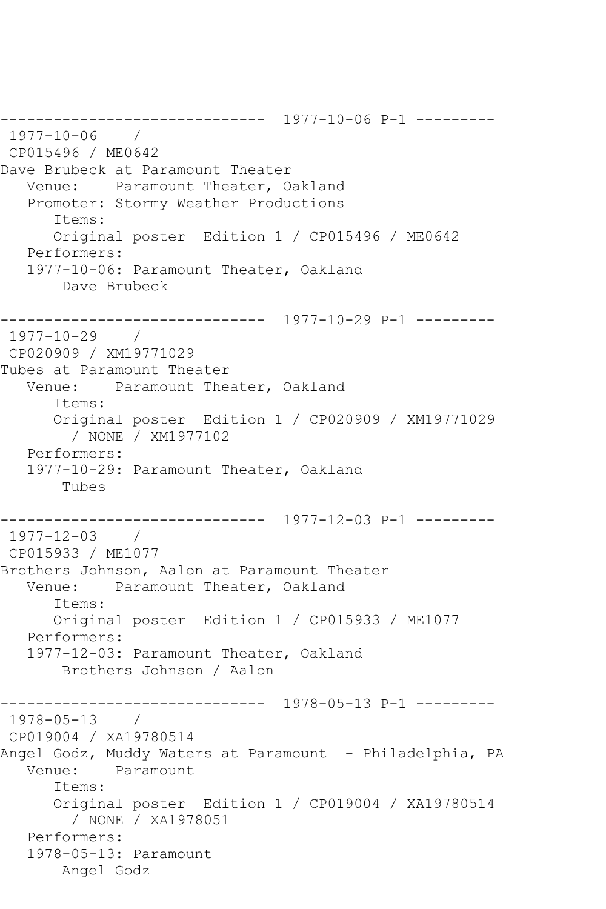------------------------------ 1977-10-06 P-1 --------- 1977-10-06 / CP015496 / ME0642 Dave Brubeck at Paramount Theater Venue: Paramount Theater, Oakland Promoter: Stormy Weather Productions Items: Original poster Edition 1 / CP015496 / ME0642 Performers: 1977-10-06: Paramount Theater, Oakland Dave Brubeck ------------------------------ 1977-10-29 P-1 --------- 1977-10-29 / CP020909 / XM19771029 Tubes at Paramount Theater Venue: Paramount Theater, Oakland Items: Original poster Edition 1 / CP020909 / XM19771029 / NONE / XM1977102 Performers: 1977-10-29: Paramount Theater, Oakland Tubes ------------------------------ 1977-12-03 P-1 --------- 1977-12-03 / CP015933 / ME1077 Brothers Johnson, Aalon at Paramount Theater Venue: Paramount Theater, Oakland Items: Original poster Edition 1 / CP015933 / ME1077 Performers: 1977-12-03: Paramount Theater, Oakland Brothers Johnson / Aalon ------------------------------ 1978-05-13 P-1 --------- 1978-05-13 / CP019004 / XA19780514 Angel Godz, Muddy Waters at Paramount - Philadelphia, PA Venue: Paramount Items: Original poster Edition 1 / CP019004 / XA19780514 / NONE / XA1978051 Performers: 1978-05-13: Paramount Angel Godz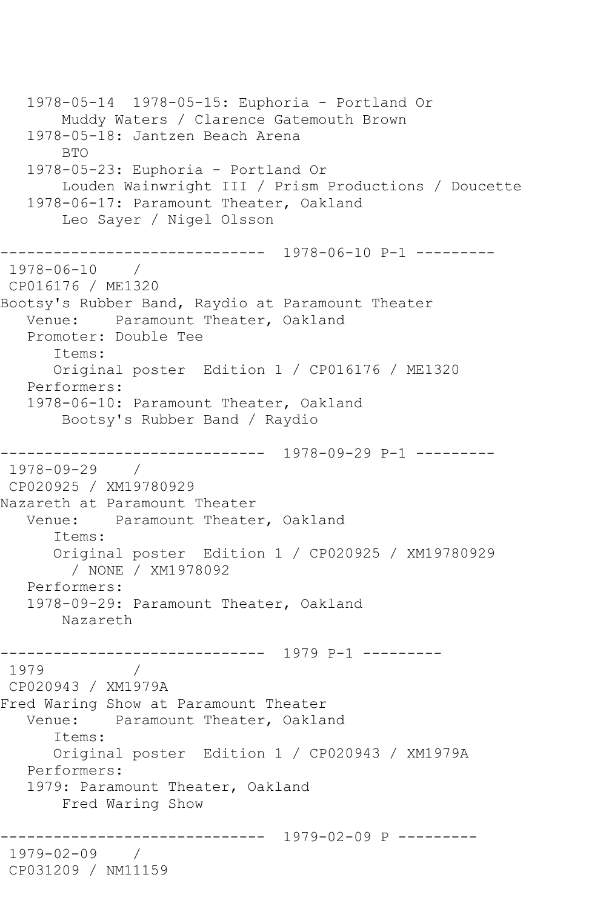1978-05-14 1978-05-15: Euphoria - Portland Or Muddy Waters / Clarence Gatemouth Brown 1978-05-18: Jantzen Beach Arena BTO 1978-05-23: Euphoria - Portland Or Louden Wainwright III / Prism Productions / Doucette 1978-06-17: Paramount Theater, Oakland Leo Sayer / Nigel Olsson ------------------------------ 1978-06-10 P-1 --------- 1978-06-10 / CP016176 / ME1320 Bootsy's Rubber Band, Raydio at Paramount Theater Venue: Paramount Theater, Oakland Promoter: Double Tee Items: Original poster Edition 1 / CP016176 / ME1320 Performers: 1978-06-10: Paramount Theater, Oakland Bootsy's Rubber Band / Raydio ------------------------------ 1978-09-29 P-1 --------- 1978-09-29 / CP020925 / XM19780929 Nazareth at Paramount Theater Venue: Paramount Theater, Oakland Items: Original poster Edition 1 / CP020925 / XM19780929 / NONE / XM1978092 Performers: 1978-09-29: Paramount Theater, Oakland Nazareth ------------------------------ 1979 P-1 --------- 1979 / CP020943 / XM1979A Fred Waring Show at Paramount Theater Venue: Paramount Theater, Oakland Items: Original poster Edition 1 / CP020943 / XM1979A Performers: 1979: Paramount Theater, Oakland Fred Waring Show ------------------------------ 1979-02-09 P --------- 1979-02-09 / CP031209 / NM11159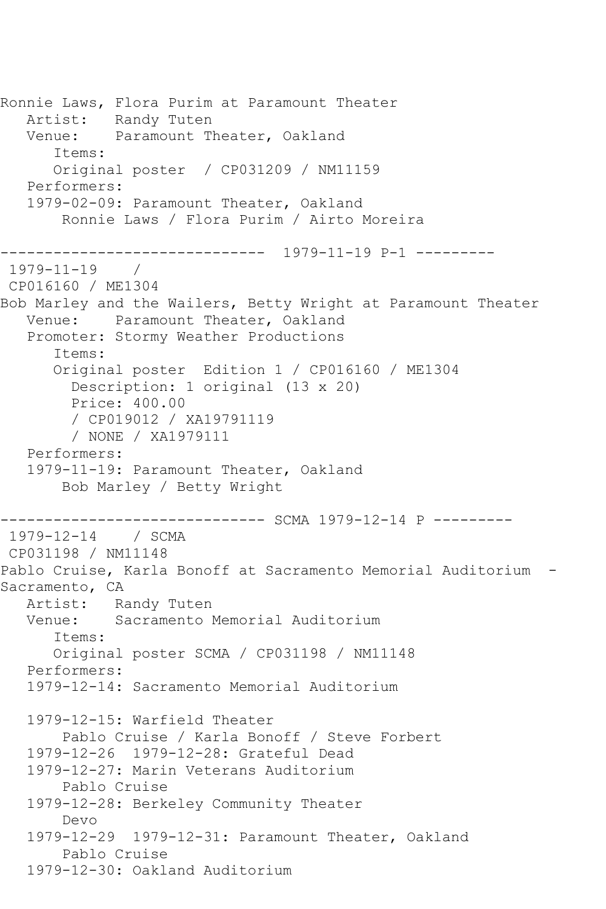Ronnie Laws, Flora Purim at Paramount Theater Artist: Randy Tuten Venue: Paramount Theater, Oakland Items: Original poster / CP031209 / NM11159 Performers: 1979-02-09: Paramount Theater, Oakland Ronnie Laws / Flora Purim / Airto Moreira -<mark>---------------------</mark> 1979-11-19 P-1 ---------<br>-19 /  $1979 - 11 - 19$ CP016160 / ME1304 Bob Marley and the Wailers, Betty Wright at Paramount Theater Venue: Paramount Theater, Oakland Promoter: Stormy Weather Productions Items: Original poster Edition 1 / CP016160 / ME1304 Description: 1 original (13 x 20) Price: 400.00 / CP019012 / XA19791119 / NONE / XA1979111 Performers: 1979-11-19: Paramount Theater, Oakland Bob Marley / Betty Wright ------------------------------ SCMA 1979-12-14 P --------- 1979-12-14 / SCMA CP031198 / NM11148 Pablo Cruise, Karla Bonoff at Sacramento Memorial Auditorium - Sacramento, CA Artist: Randy Tuten Venue: Sacramento Memorial Auditorium Items: Original poster SCMA / CP031198 / NM11148 Performers: 1979-12-14: Sacramento Memorial Auditorium 1979-12-15: Warfield Theater Pablo Cruise / Karla Bonoff / Steve Forbert 1979-12-26 1979-12-28: Grateful Dead 1979-12-27: Marin Veterans Auditorium Pablo Cruise 1979-12-28: Berkeley Community Theater Devo 1979-12-29 1979-12-31: Paramount Theater, Oakland Pablo Cruise 1979-12-30: Oakland Auditorium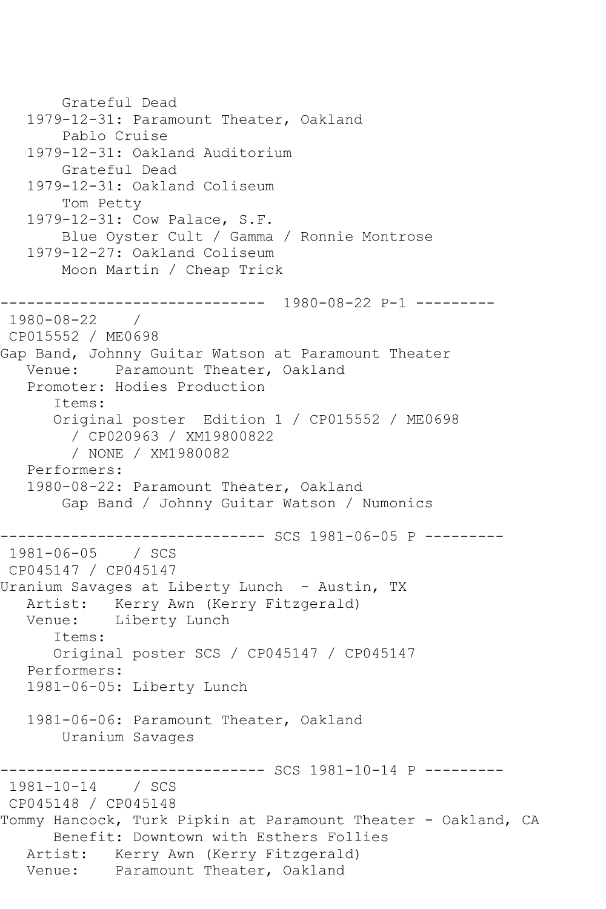```
 Grateful Dead
   1979-12-31: Paramount Theater, Oakland
        Pablo Cruise
   1979-12-31: Oakland Auditorium
       Grateful Dead
   1979-12-31: Oakland Coliseum
       Tom Petty
   1979-12-31: Cow Palace, S.F.
       Blue Oyster Cult / Gamma / Ronnie Montrose
   1979-12-27: Oakland Coliseum
       Moon Martin / Cheap Trick
------------------------------ 1980-08-22 P-1 ---------
1980-08-22 / 
CP015552 / ME0698
Gap Band, Johnny Guitar Watson at Paramount Theater
   Venue: Paramount Theater, Oakland
   Promoter: Hodies Production
       Items:
      Original poster Edition 1 / CP015552 / ME0698
         / CP020963 / XM19800822
         / NONE / XM1980082
   Performers:
   1980-08-22: Paramount Theater, Oakland
       Gap Band / Johnny Guitar Watson / Numonics
------------------------------ SCS 1981-06-05 P ---------
1981-06-05 / SCS 
CP045147 / CP045147
Uranium Savages at Liberty Lunch - Austin, TX
   Artist: Kerry Awn (Kerry Fitzgerald)
   Venue: Liberty Lunch
       Items:
      Original poster SCS / CP045147 / CP045147
   Performers:
   1981-06-05: Liberty Lunch
   1981-06-06: Paramount Theater, Oakland
       Uranium Savages
            ------------------ SCS 1981-10-14 P ---------
1981-10-14 / SCS 
CP045148 / CP045148
Tommy Hancock, Turk Pipkin at Paramount Theater - Oakland, CA
      Benefit: Downtown with Esthers Follies
   Artist: Kerry Awn (Kerry Fitzgerald)
   Venue: Paramount Theater, Oakland
```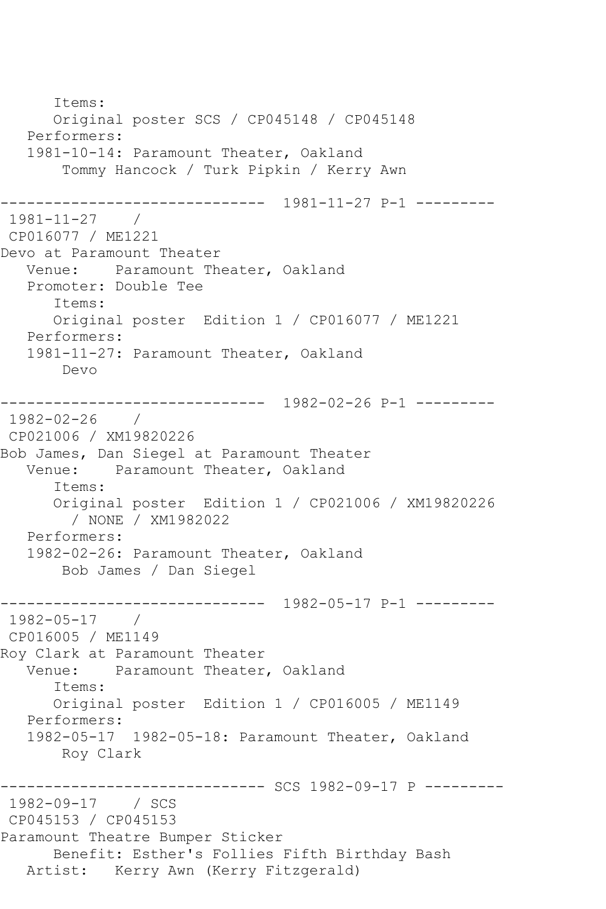Items: Original poster SCS / CP045148 / CP045148 Performers: 1981-10-14: Paramount Theater, Oakland Tommy Hancock / Turk Pipkin / Kerry Awn ------------------------------ 1981-11-27 P-1 --------- 1981-11-27 / CP016077 / ME1221 Devo at Paramount Theater Venue: Paramount Theater, Oakland Promoter: Double Tee Items: Original poster Edition 1 / CP016077 / ME1221 Performers: 1981-11-27: Paramount Theater, Oakland Devo ------------------------------ 1982-02-26 P-1 --------- 1982-02-26 / CP021006 / XM19820226 Bob James, Dan Siegel at Paramount Theater Venue: Paramount Theater, Oakland Items: Original poster Edition 1 / CP021006 / XM19820226 / NONE / XM1982022 Performers: 1982-02-26: Paramount Theater, Oakland Bob James / Dan Siegel ------------------------------ 1982-05-17 P-1 --------- 1982-05-17 / CP016005 / ME1149 Roy Clark at Paramount Theater Venue: Paramount Theater, Oakland Items: Original poster Edition 1 / CP016005 / ME1149 Performers: 1982-05-17 1982-05-18: Paramount Theater, Oakland Roy Clark ------------------------------ SCS 1982-09-17 P --------- 1982-09-17 / SCS CP045153 / CP045153 Paramount Theatre Bumper Sticker Benefit: Esther's Follies Fifth Birthday Bash Artist: Kerry Awn (Kerry Fitzgerald)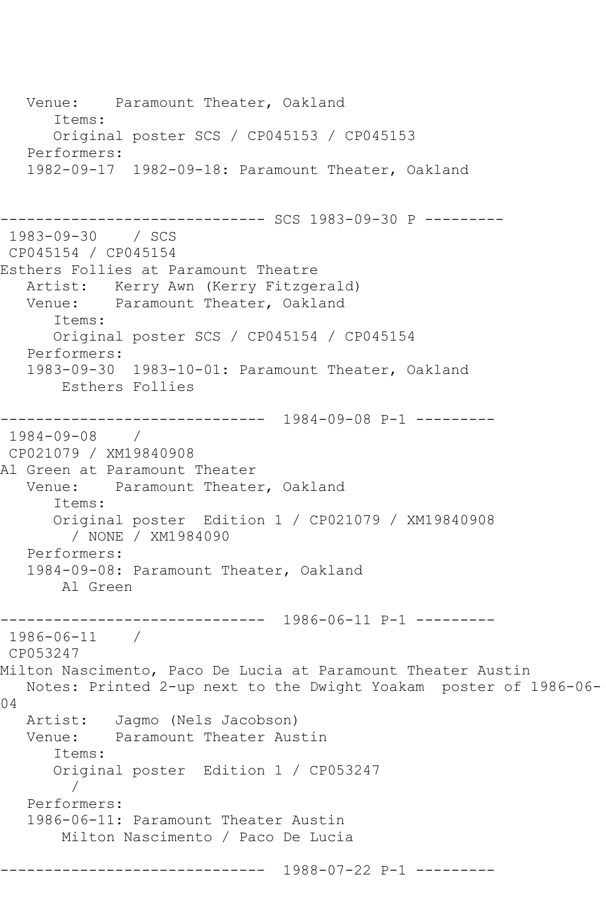Venue: Paramount Theater, Oakland Items: Original poster SCS / CP045153 / CP045153 Performers: 1982-09-17 1982-09-18: Paramount Theater, Oakland ------------------------------ SCS 1983-09-30 P --------- 1983-09-30 / SCS CP045154 / CP045154 Esthers Follies at Paramount Theatre Artist: Kerry Awn (Kerry Fitzgerald)<br>Venue: Paramount Theater, Oakland Paramount Theater, Oakland Items: Original poster SCS / CP045154 / CP045154 Performers: 1983-09-30 1983-10-01: Paramount Theater, Oakland Esthers Follies ------------------------------ 1984-09-08 P-1 --------- 1984-09-08 / CP021079 / XM19840908 Al Green at Paramount Theater Venue: Paramount Theater, Oakland Items: Original poster Edition 1 / CP021079 / XM19840908 / NONE / XM1984090 Performers: 1984-09-08: Paramount Theater, Oakland Al Green ------------------------------ 1986-06-11 P-1 --------- 1986-06-11 / CP053247 Milton Nascimento, Paco De Lucia at Paramount Theater Austin Notes: Printed 2-up next to the Dwight Yoakam poster of 1986-06- 04 Artist: Jagmo (Nels Jacobson) Venue: Paramount Theater Austin Items: Original poster Edition 1 / CP053247 / Performers: 1986-06-11: Paramount Theater Austin Milton Nascimento / Paco De Lucia ------------------------------ 1988-07-22 P-1 ---------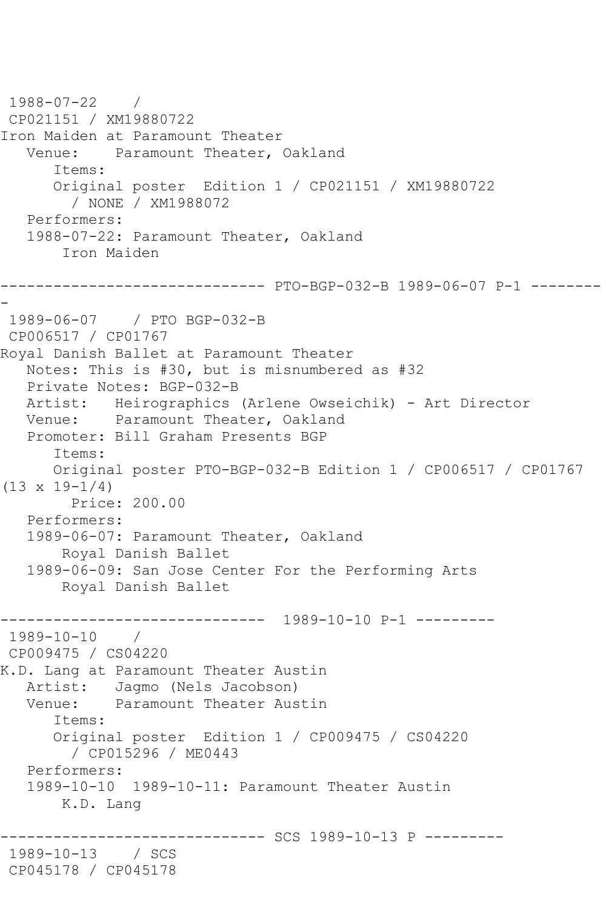1988-07-22 / CP021151 / XM19880722 Iron Maiden at Paramount Theater Venue: Paramount Theater, Oakland Items: Original poster Edition 1 / CP021151 / XM19880722 / NONE / XM1988072 Performers: 1988-07-22: Paramount Theater, Oakland Iron Maiden ------------------------------ PTO-BGP-032-B 1989-06-07 P-1 -------- - 1989-06-07 / PTO BGP-032-B CP006517 / CP01767 Royal Danish Ballet at Paramount Theater Notes: This is #30, but is misnumbered as #32 Private Notes: BGP-032-B Artist: Heirographics (Arlene Owseichik) - Art Director Venue: Paramount Theater, Oakland Promoter: Bill Graham Presents BGP Items: Original poster PTO-BGP-032-B Edition 1 / CP006517 / CP01767  $(13 \times 19 - 1/4)$  Price: 200.00 Performers: 1989-06-07: Paramount Theater, Oakland Royal Danish Ballet 1989-06-09: San Jose Center For the Performing Arts Royal Danish Ballet ------------------------------ 1989-10-10 P-1 --------- 1989-10-10 / CP009475 / CS04220 K.D. Lang at Paramount Theater Austin Artist: Jagmo (Nels Jacobson) Venue: Paramount Theater Austin Items: Original poster Edition 1 / CP009475 / CS04220 / CP015296 / ME0443 Performers: 1989-10-10 1989-10-11: Paramount Theater Austin K.D. Lang --------- SCS 1989-10-13 P ---------1989-10-13 / SCS CP045178 / CP045178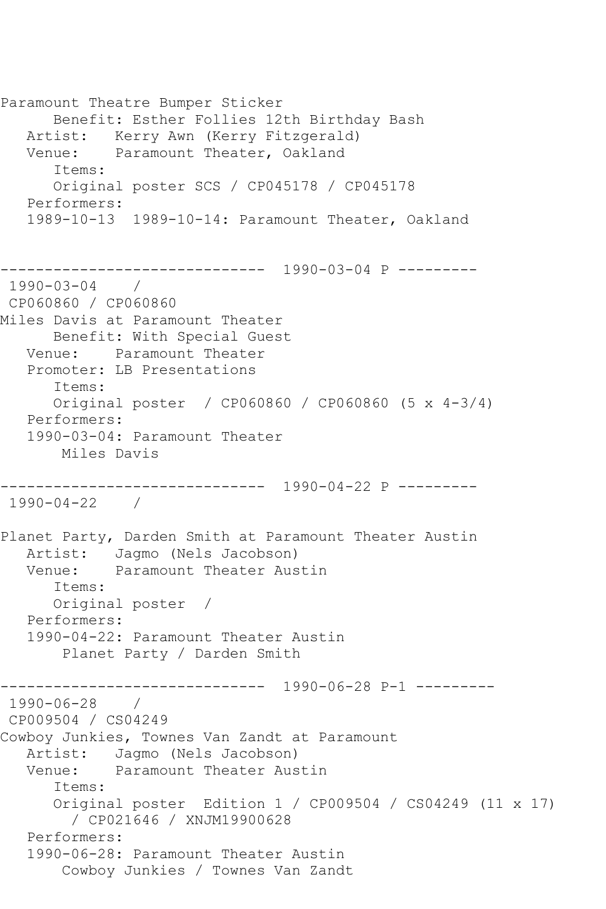Paramount Theatre Bumper Sticker Benefit: Esther Follies 12th Birthday Bash Artist: Kerry Awn (Kerry Fitzgerald) Venue: Paramount Theater, Oakland Items: Original poster SCS / CP045178 / CP045178 Performers: 1989-10-13 1989-10-14: Paramount Theater, Oakland ------------------------------ 1990-03-04 P --------- 1990-03-04 / CP060860 / CP060860 Miles Davis at Paramount Theater Benefit: With Special Guest Venue: Paramount Theater Promoter: LB Presentations Items: Original poster / CP060860 / CP060860 (5 x 4-3/4) Performers: 1990-03-04: Paramount Theater Miles Davis ------------------------------ 1990-04-22 P --------- 1990-04-22 / Planet Party, Darden Smith at Paramount Theater Austin Artist: Jagmo (Nels Jacobson)<br>Venue: Paramount Theater Aus Paramount Theater Austin Items: Original poster / Performers: 1990-04-22: Paramount Theater Austin Planet Party / Darden Smith ------------------------------ 1990-06-28 P-1 --------- 1990-06-28 / CP009504 / CS04249 Cowboy Junkies, Townes Van Zandt at Paramount Artist: Jagmo (Nels Jacobson) Venue: Paramount Theater Austin Items: Original poster Edition 1 / CP009504 / CS04249 (11 x 17) / CP021646 / XNJM19900628 Performers: 1990-06-28: Paramount Theater Austin Cowboy Junkies / Townes Van Zandt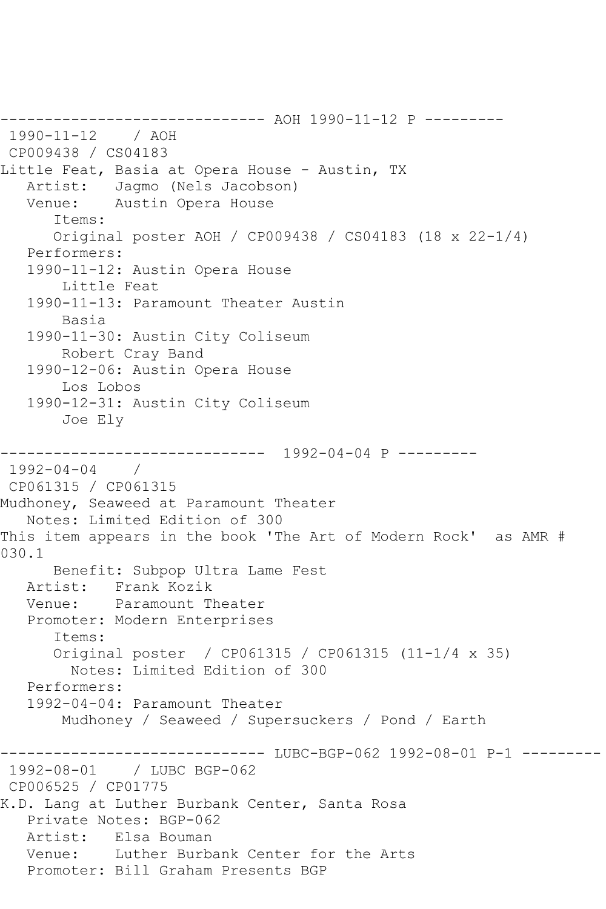------------------------------ AOH 1990-11-12 P --------- 1990-11-12 / AOH CP009438 / CS04183 Little Feat, Basia at Opera House - Austin, TX Artist: Jagmo (Nels Jacobson) Venue: Austin Opera House Items: Original poster AOH / CP009438 / CS04183 (18 x 22-1/4) Performers: 1990-11-12: Austin Opera House Little Feat 1990-11-13: Paramount Theater Austin Basia 1990-11-30: Austin City Coliseum Robert Cray Band 1990-12-06: Austin Opera House Los Lobos 1990-12-31: Austin City Coliseum Joe Ely ------------------------------ 1992-04-04 P --------- 1992-04-04 / CP061315 / CP061315 Mudhoney, Seaweed at Paramount Theater Notes: Limited Edition of 300 This item appears in the book 'The Art of Modern Rock' as AMR # 030.1 Benefit: Subpop Ultra Lame Fest Artist: Frank Kozik Venue: Paramount Theater Promoter: Modern Enterprises Items: Original poster / CP061315 / CP061315 (11-1/4 x 35) Notes: Limited Edition of 300 Performers: 1992-04-04: Paramount Theater Mudhoney / Seaweed / Supersuckers / Pond / Earth ------------------------------ LUBC-BGP-062 1992-08-01 P-1 --------- 1992-08-01 / LUBC BGP-062 CP006525 / CP01775 K.D. Lang at Luther Burbank Center, Santa Rosa Private Notes: BGP-062 Artist: Elsa Bouman Venue: Luther Burbank Center for the Arts Promoter: Bill Graham Presents BGP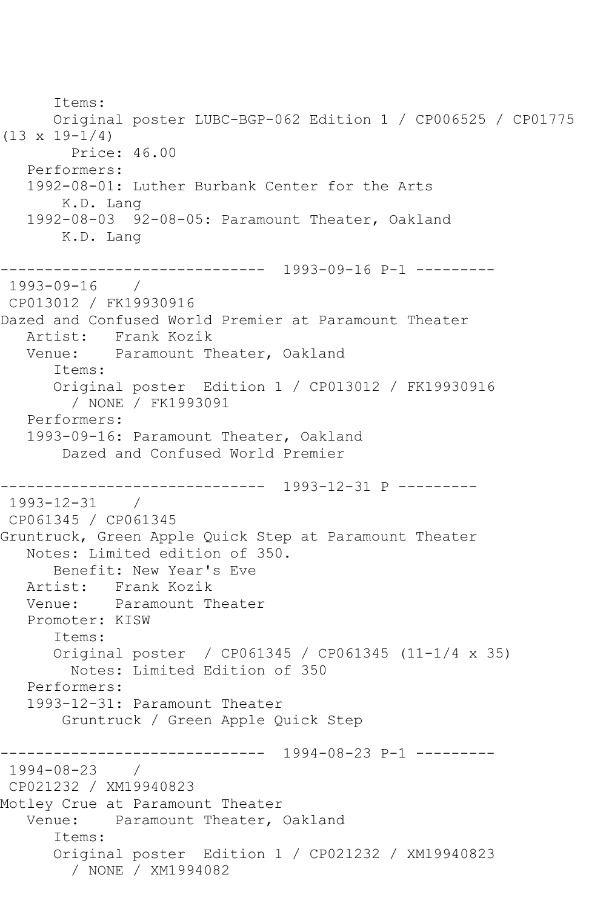Items: Original poster LUBC-BGP-062 Edition 1 / CP006525 / CP01775  $(13 \times 19 - 1/4)$  Price: 46.00 Performers: 1992-08-01: Luther Burbank Center for the Arts K.D. Lang 1992-08-03 92-08-05: Paramount Theater, Oakland K.D. Lang ------------------------------ 1993-09-16 P-1 --------- 1993-09-16 / CP013012 / FK19930916 Dazed and Confused World Premier at Paramount Theater Artist: Frank Kozik Venue: Paramount Theater, Oakland Items: Original poster Edition 1 / CP013012 / FK19930916 / NONE / FK1993091 Performers: 1993-09-16: Paramount Theater, Oakland Dazed and Confused World Premier ------------------------------ 1993-12-31 P --------- 1993-12-31 / CP061345 / CP061345 Gruntruck, Green Apple Quick Step at Paramount Theater Notes: Limited edition of 350. Benefit: New Year's Eve Artist: Frank Kozik Venue: Paramount Theater Promoter: KISW Items: Original poster / CP061345 / CP061345 (11-1/4 x 35) Notes: Limited Edition of 350 Performers: 1993-12-31: Paramount Theater Gruntruck / Green Apple Quick Step ------------------------------ 1994-08-23 P-1 ---------  $1994 - 08 - 23$ CP021232 / XM19940823 Motley Crue at Paramount Theater Venue: Paramount Theater, Oakland Items: Original poster Edition 1 / CP021232 / XM19940823 / NONE / XM1994082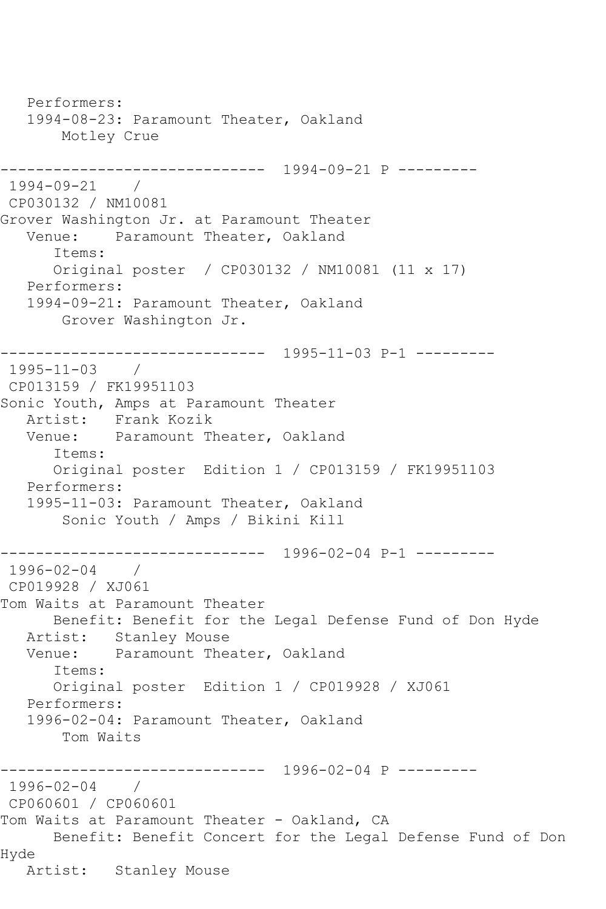Performers: 1994-08-23: Paramount Theater, Oakland Motley Crue ------------------------------ 1994-09-21 P --------- 1994-09-21 / CP030132 / NM10081 Grover Washington Jr. at Paramount Theater Venue: Paramount Theater, Oakland Items: Original poster / CP030132 / NM10081 (11 x 17) Performers: 1994-09-21: Paramount Theater, Oakland Grover Washington Jr. ------------------------------ 1995-11-03 P-1 --------- 1995-11-03 / CP013159 / FK19951103 Sonic Youth, Amps at Paramount Theater Artist: Frank Kozik Venue: Paramount Theater, Oakland Items: Original poster Edition 1 / CP013159 / FK19951103 Performers: 1995-11-03: Paramount Theater, Oakland Sonic Youth / Amps / Bikini Kill ------------------------------ 1996-02-04 P-1 --------- 1996-02-04 / CP019928 / XJ061 Tom Waits at Paramount Theater Benefit: Benefit for the Legal Defense Fund of Don Hyde Artist: Stanley Mouse<br>Venue: Paramount Thea Paramount Theater, Oakland Items: Original poster Edition 1 / CP019928 / XJ061 Performers: 1996-02-04: Paramount Theater, Oakland Tom Waits ------------------------------ 1996-02-04 P --------- 1996-02-04 / CP060601 / CP060601 Tom Waits at Paramount Theater - Oakland, CA Benefit: Benefit Concert for the Legal Defense Fund of Don Hyde Artist: Stanley Mouse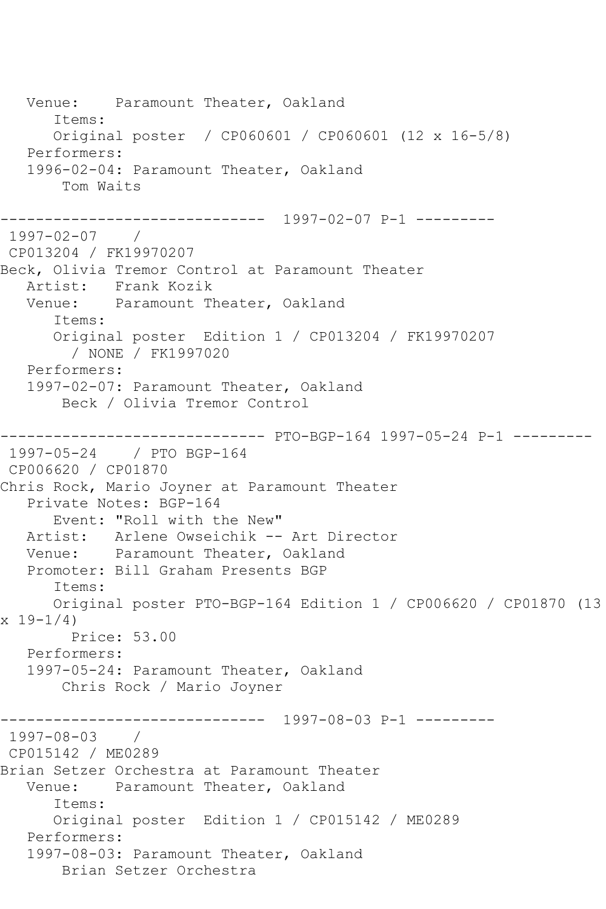Venue: Paramount Theater, Oakland Items: Original poster / CP060601 / CP060601 (12 x 16-5/8) Performers: 1996-02-04: Paramount Theater, Oakland Tom Waits ------------------------------ 1997-02-07 P-1 --------- 1997-02-07 / CP013204 / FK19970207 Beck, Olivia Tremor Control at Paramount Theater Artist: Frank Kozik Venue: Paramount Theater, Oakland Items: Original poster Edition 1 / CP013204 / FK19970207 / NONE / FK1997020 Performers: 1997-02-07: Paramount Theater, Oakland Beck / Olivia Tremor Control ------------------------------ PTO-BGP-164 1997-05-24 P-1 --------- 1997-05-24 / PTO BGP-164 CP006620 / CP01870 Chris Rock, Mario Joyner at Paramount Theater Private Notes: BGP-164 Event: "Roll with the New" Artist: Arlene Owseichik -- Art Director Venue: Paramount Theater, Oakland Promoter: Bill Graham Presents BGP Items: Original poster PTO-BGP-164 Edition 1 / CP006620 / CP01870 (13 x 19-1/4) Price: 53.00 Performers: 1997-05-24: Paramount Theater, Oakland Chris Rock / Mario Joyner ------------------------------ 1997-08-03 P-1 --------- 1997-08-03 / CP015142 / ME0289 Brian Setzer Orchestra at Paramount Theater Venue: Paramount Theater, Oakland Items: Original poster Edition 1 / CP015142 / ME0289 Performers: 1997-08-03: Paramount Theater, Oakland Brian Setzer Orchestra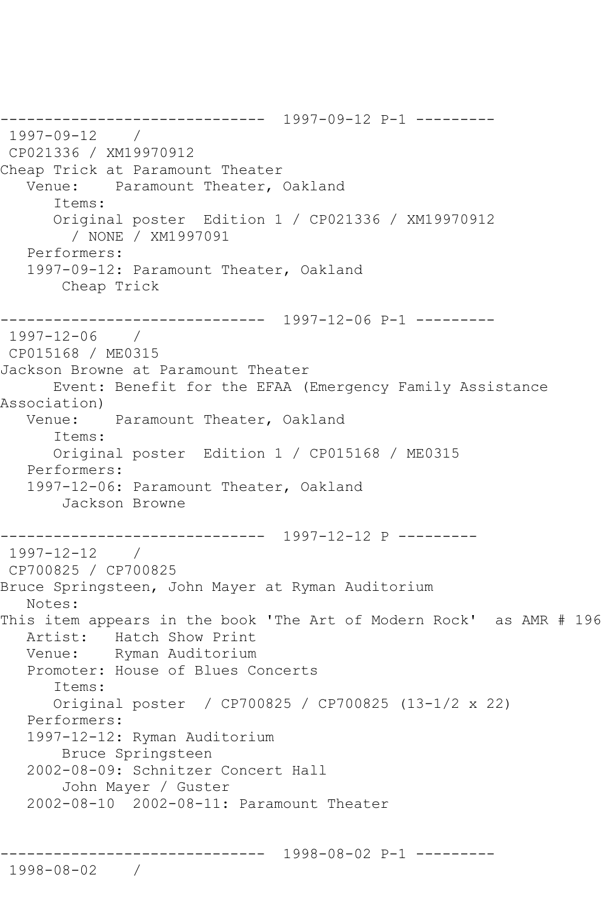------------------------------ 1997-09-12 P-1 --------- 1997-09-12 / CP021336 / XM19970912 Cheap Trick at Paramount Theater Venue: Paramount Theater, Oakland Items: Original poster Edition 1 / CP021336 / XM19970912 / NONE / XM1997091 Performers: 1997-09-12: Paramount Theater, Oakland Cheap Trick ------------------------------ 1997-12-06 P-1 --------- 1997-12-06 / CP015168 / ME0315 Jackson Browne at Paramount Theater Event: Benefit for the EFAA (Emergency Family Assistance Association) Venue: Paramount Theater, Oakland Items: Original poster Edition 1 / CP015168 / ME0315 Performers: 1997-12-06: Paramount Theater, Oakland Jackson Browne ------------------------------ 1997-12-12 P --------- 1997-12-12 / CP700825 / CP700825 Bruce Springsteen, John Mayer at Ryman Auditorium Notes: This item appears in the book 'The Art of Modern Rock' as AMR # 196 Artist: Hatch Show Print<br>Venue: Ryman Auditorium Ryman Auditorium Promoter: House of Blues Concerts Items: Original poster / CP700825 / CP700825 (13-1/2 x 22) Performers: 1997-12-12: Ryman Auditorium Bruce Springsteen 2002-08-09: Schnitzer Concert Hall John Mayer / Guster 2002-08-10 2002-08-11: Paramount Theater ------------------------------ 1998-08-02 P-1 ---------

1998-08-02 /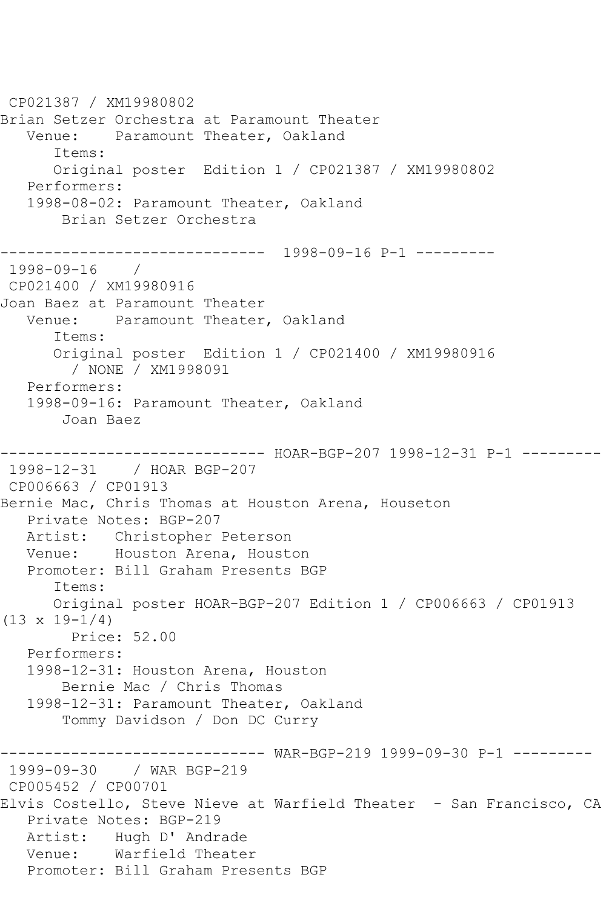CP021387 / XM19980802 Brian Setzer Orchestra at Paramount Theater Venue: Paramount Theater, Oakland Items: Original poster Edition 1 / CP021387 / XM19980802 Performers: 1998-08-02: Paramount Theater, Oakland Brian Setzer Orchestra ------------------------------ 1998-09-16 P-1 --------- 1998-09-16 / CP021400 / XM19980916 Joan Baez at Paramount Theater Venue: Paramount Theater, Oakland Items: Original poster Edition 1 / CP021400 / XM19980916 / NONE / XM1998091 Performers: 1998-09-16: Paramount Theater, Oakland Joan Baez ------------------------------ HOAR-BGP-207 1998-12-31 P-1 --------- 1998-12-31 / HOAR BGP-207 CP006663 / CP01913 Bernie Mac, Chris Thomas at Houston Arena, Houseton Private Notes: BGP-207 Artist: Christopher Peterson Venue: Houston Arena, Houston Promoter: Bill Graham Presents BGP Items: Original poster HOAR-BGP-207 Edition 1 / CP006663 / CP01913  $(13 \times 19 - 1/4)$  Price: 52.00 Performers: 1998-12-31: Houston Arena, Houston Bernie Mac / Chris Thomas 1998-12-31: Paramount Theater, Oakland Tommy Davidson / Don DC Curry ------------------------------ WAR-BGP-219 1999-09-30 P-1 --------- 1999-09-30 / WAR BGP-219 CP005452 / CP00701 Elvis Costello, Steve Nieve at Warfield Theater - San Francisco, CA Private Notes: BGP-219 Artist: Hugh D' Andrade Venue: Warfield Theater Promoter: Bill Graham Presents BGP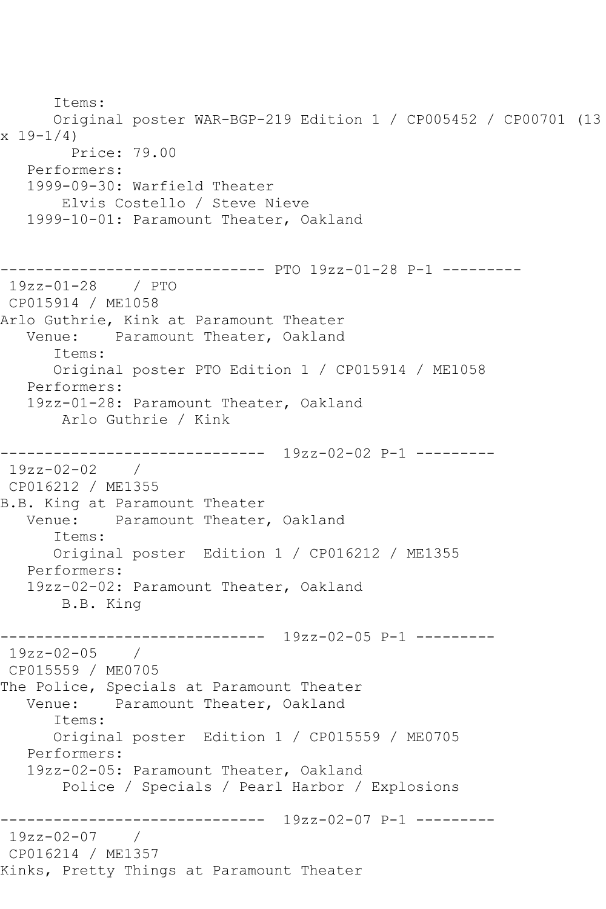Items: Original poster WAR-BGP-219 Edition 1 / CP005452 / CP00701 (13  $x 19 - 1/4$  Price: 79.00 Performers: 1999-09-30: Warfield Theater Elvis Costello / Steve Nieve 1999-10-01: Paramount Theater, Oakland ------------------------------ PTO 19zz-01-28 P-1 --------- 19zz-01-28 / PTO CP015914 / ME1058 Arlo Guthrie, Kink at Paramount Theater Venue: Paramount Theater, Oakland Items: Original poster PTO Edition 1 / CP015914 / ME1058 Performers: 19zz-01-28: Paramount Theater, Oakland Arlo Guthrie / Kink ------------------------------ 19zz-02-02 P-1 --------- 19zz-02-02 / CP016212 / ME1355 B.B. King at Paramount Theater Venue: Paramount Theater, Oakland Items: Original poster Edition 1 / CP016212 / ME1355 Performers: 19zz-02-02: Paramount Theater, Oakland B.B. King ------------------------------ 19zz-02-05 P-1 ---------  $19zz-02-05$ CP015559 / ME0705 The Police, Specials at Paramount Theater<br>Venue: Paramount Theater, Oakland Paramount Theater, Oakland Items: Original poster Edition 1 / CP015559 / ME0705 Performers: 19zz-02-05: Paramount Theater, Oakland Police / Specials / Pearl Harbor / Explosions ------------------------------ 19zz-02-07 P-1 --------- 19zz-02-07 / CP016214 / ME1357 Kinks, Pretty Things at Paramount Theater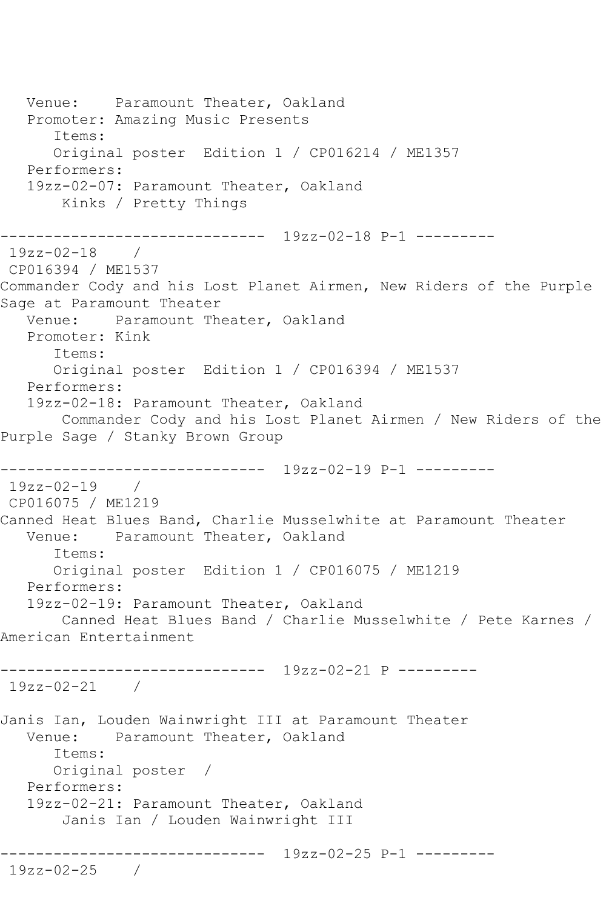Venue: Paramount Theater, Oakland Promoter: Amazing Music Presents Items: Original poster Edition 1 / CP016214 / ME1357 Performers: 19zz-02-07: Paramount Theater, Oakland Kinks / Pretty Things ------------------------------ 19zz-02-18 P-1 --------- 19zz-02-18 / CP016394 / ME1537 Commander Cody and his Lost Planet Airmen, New Riders of the Purple Sage at Paramount Theater Venue: Paramount Theater, Oakland Promoter: Kink Items: Original poster Edition 1 / CP016394 / ME1537 Performers: 19zz-02-18: Paramount Theater, Oakland Commander Cody and his Lost Planet Airmen / New Riders of the Purple Sage / Stanky Brown Group ------------------------------ 19zz-02-19 P-1 --------- 19zz-02-19 / CP016075 / ME1219 Canned Heat Blues Band, Charlie Musselwhite at Paramount Theater Venue: Paramount Theater, Oakland Items: Original poster Edition 1 / CP016075 / ME1219 Performers: 19zz-02-19: Paramount Theater, Oakland Canned Heat Blues Band / Charlie Musselwhite / Pete Karnes / American Entertainment ------------------------------ 19zz-02-21 P --------- 19zz-02-21 / Janis Ian, Louden Wainwright III at Paramount Theater Venue: Paramount Theater, Oakland Items: Original poster / Performers: 19zz-02-21: Paramount Theater, Oakland Janis Ian / Louden Wainwright III ------------------------------ 19zz-02-25 P-1 --------- 19zz-02-25 /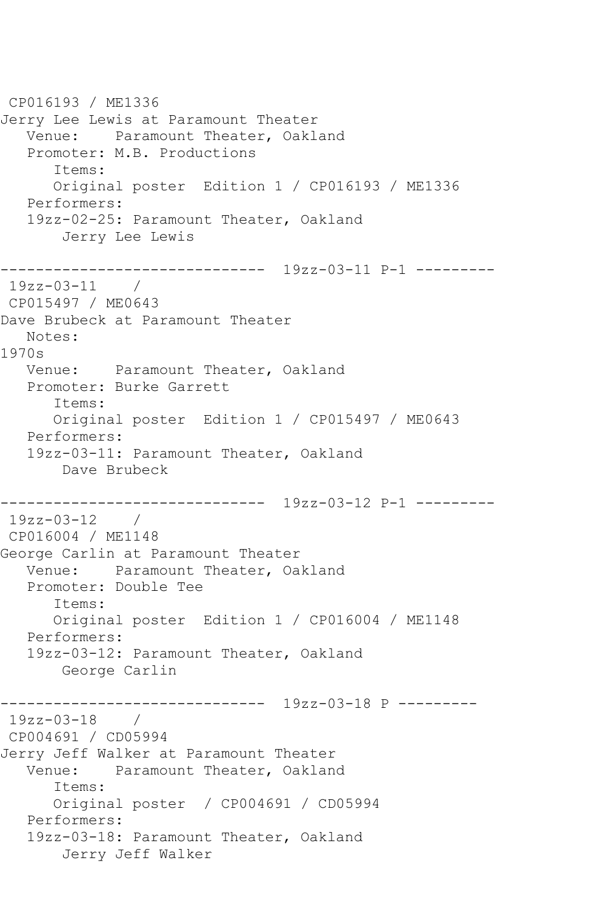CP016193 / ME1336 Jerry Lee Lewis at Paramount Theater Venue: Paramount Theater, Oakland Promoter: M.B. Productions Items: Original poster Edition 1 / CP016193 / ME1336 Performers: 19zz-02-25: Paramount Theater, Oakland Jerry Lee Lewis ------------------------------ 19zz-03-11 P-1 --------- 19zz-03-11 / CP015497 / ME0643 Dave Brubeck at Paramount Theater Notes: 1970s Venue: Paramount Theater, Oakland Promoter: Burke Garrett Items: Original poster Edition 1 / CP015497 / ME0643 Performers: 19zz-03-11: Paramount Theater, Oakland Dave Brubeck ------------------------------ 19zz-03-12 P-1 --------- 19zz-03-12 / CP016004 / ME1148 George Carlin at Paramount Theater Venue: Paramount Theater, Oakland Promoter: Double Tee Items: Original poster Edition 1 / CP016004 / ME1148 Performers: 19zz-03-12: Paramount Theater, Oakland George Carlin ------------------------------ 19zz-03-18 P --------- 19zz-03-18 / CP004691 / CD05994 Jerry Jeff Walker at Paramount Theater Venue: Paramount Theater, Oakland Items: Original poster / CP004691 / CD05994 Performers: 19zz-03-18: Paramount Theater, Oakland Jerry Jeff Walker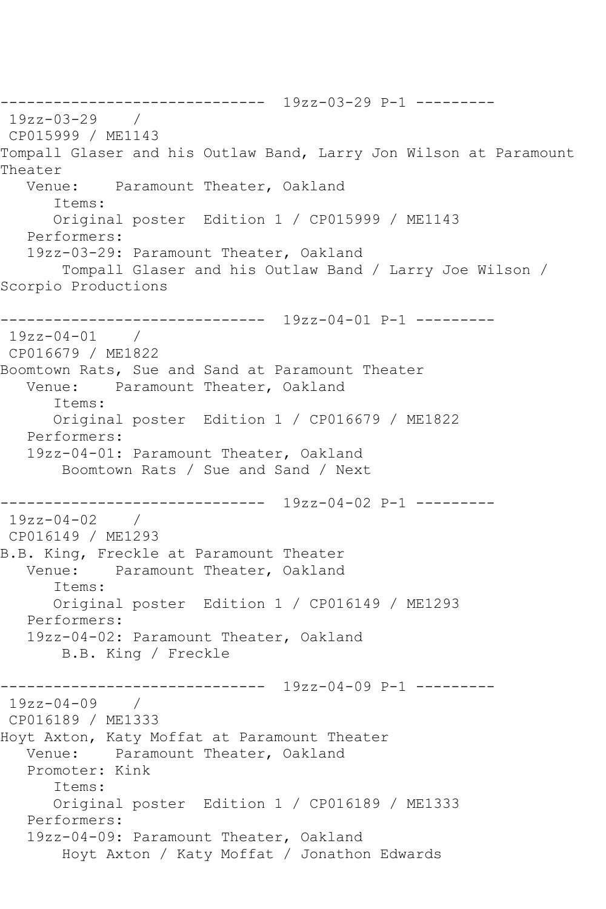------------------------------ 19zz-03-29 P-1 --------- 19zz-03-29 / CP015999 / ME1143 Tompall Glaser and his Outlaw Band, Larry Jon Wilson at Paramount Theater Venue: Paramount Theater, Oakland Items: Original poster Edition 1 / CP015999 / ME1143 Performers: 19zz-03-29: Paramount Theater, Oakland Tompall Glaser and his Outlaw Band / Larry Joe Wilson / Scorpio Productions ------------------------------ 19zz-04-01 P-1 --------- 19zz-04-01 / CP016679 / ME1822 Boomtown Rats, Sue and Sand at Paramount Theater Venue: Paramount Theater, Oakland Items: Original poster Edition 1 / CP016679 / ME1822 Performers: 19zz-04-01: Paramount Theater, Oakland Boomtown Rats / Sue and Sand / Next ------------------------------ 19zz-04-02 P-1 --------- 19zz-04-02 / CP016149 / ME1293 B.B. King, Freckle at Paramount Theater Venue: Paramount Theater, Oakland Items: Original poster Edition 1 / CP016149 / ME1293 Performers: 19zz-04-02: Paramount Theater, Oakland B.B. King / Freckle ------------------------------ 19zz-04-09 P-1 --------- 19zz-04-09 / CP016189 / ME1333 Hoyt Axton, Katy Moffat at Paramount Theater Venue: Paramount Theater, Oakland Promoter: Kink Items: Original poster Edition 1 / CP016189 / ME1333 Performers: 19zz-04-09: Paramount Theater, Oakland Hoyt Axton / Katy Moffat / Jonathon Edwards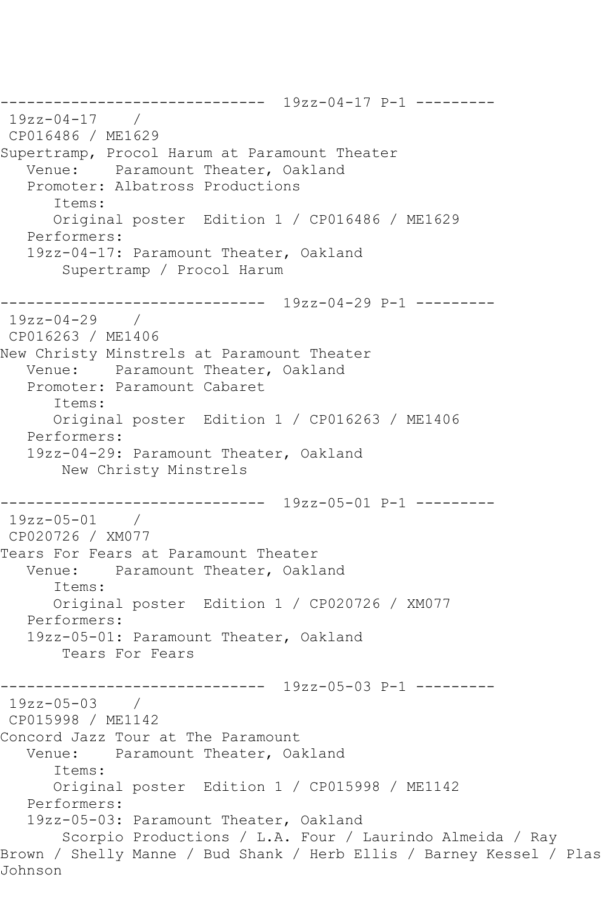------------------------------ 19zz-04-17 P-1 --------- 19zz-04-17 / CP016486 / ME1629 Supertramp, Procol Harum at Paramount Theater Venue: Paramount Theater, Oakland Promoter: Albatross Productions Items: Original poster Edition 1 / CP016486 / ME1629 Performers: 19zz-04-17: Paramount Theater, Oakland Supertramp / Procol Harum ------------------------------ 19zz-04-29 P-1 --------- 19zz-04-29 / CP016263 / ME1406 New Christy Minstrels at Paramount Theater Venue: Paramount Theater, Oakland Promoter: Paramount Cabaret Items: Original poster Edition 1 / CP016263 / ME1406 Performers: 19zz-04-29: Paramount Theater, Oakland New Christy Minstrels ------------------------------ 19zz-05-01 P-1 --------- 19zz-05-01 / CP020726 / XM077 Tears For Fears at Paramount Theater Venue: Paramount Theater, Oakland Items: Original poster Edition 1 / CP020726 / XM077 Performers: 19zz-05-01: Paramount Theater, Oakland Tears For Fears ------------------------------ 19zz-05-03 P-1 --------- 19zz-05-03 / CP015998 / ME1142 Concord Jazz Tour at The Paramount Venue: Paramount Theater, Oakland Items: Original poster Edition 1 / CP015998 / ME1142 Performers: 19zz-05-03: Paramount Theater, Oakland Scorpio Productions / L.A. Four / Laurindo Almeida / Ray Brown / Shelly Manne / Bud Shank / Herb Ellis / Barney Kessel / Plas Johnson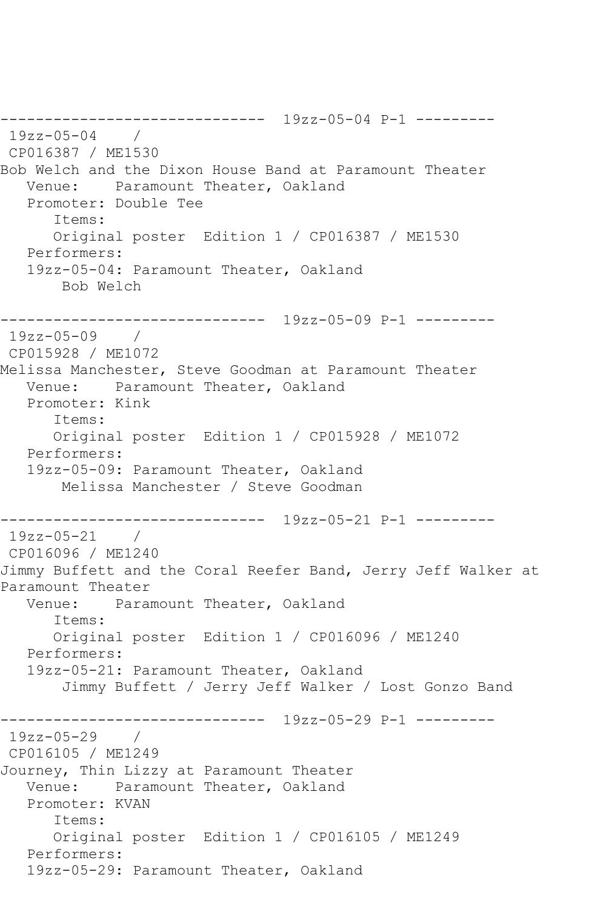------------------------------ 19zz-05-04 P-1 --------- 19zz-05-04 / CP016387 / ME1530 Bob Welch and the Dixon House Band at Paramount Theater Venue: Paramount Theater, Oakland Promoter: Double Tee Items: Original poster Edition 1 / CP016387 / ME1530 Performers: 19zz-05-04: Paramount Theater, Oakland Bob Welch ------------------------------ 19zz-05-09 P-1 --------- 19zz-05-09 / CP015928 / ME1072 Melissa Manchester, Steve Goodman at Paramount Theater Venue: Paramount Theater, Oakland Promoter: Kink Items: Original poster Edition 1 / CP015928 / ME1072 Performers: 19zz-05-09: Paramount Theater, Oakland Melissa Manchester / Steve Goodman ------------------------------ 19zz-05-21 P-1 --------- 19zz-05-21 / CP016096 / ME1240 Jimmy Buffett and the Coral Reefer Band, Jerry Jeff Walker at Paramount Theater Venue: Paramount Theater, Oakland Items: Original poster Edition 1 / CP016096 / ME1240 Performers: 19zz-05-21: Paramount Theater, Oakland Jimmy Buffett / Jerry Jeff Walker / Lost Gonzo Band ------------------------------ 19zz-05-29 P-1 --------- 19zz-05-29 / CP016105 / ME1249 Journey, Thin Lizzy at Paramount Theater Venue: Paramount Theater, Oakland Promoter: KVAN Items: Original poster Edition 1 / CP016105 / ME1249 Performers: 19zz-05-29: Paramount Theater, Oakland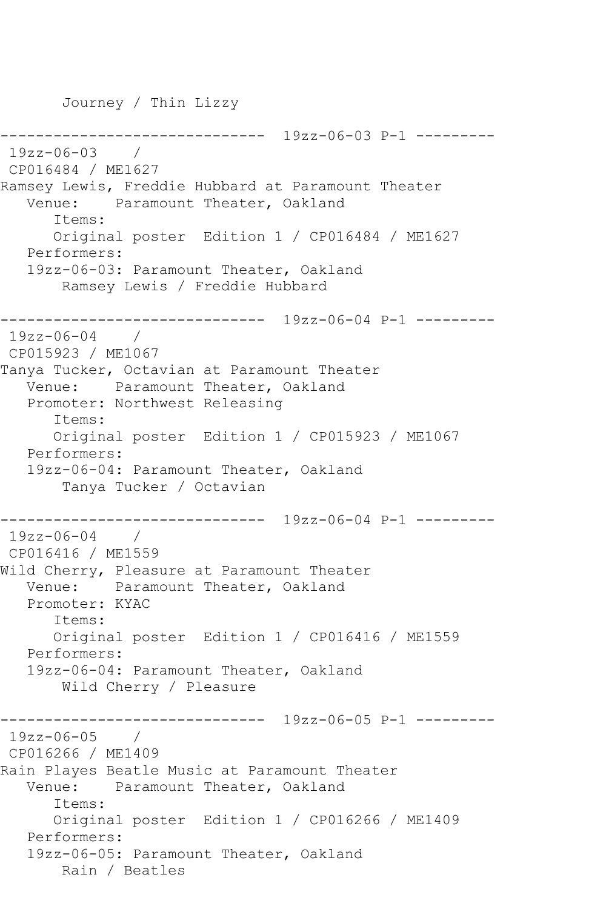Journey / Thin Lizzy

```
------------------------------ 19zz-06-03 P-1 ---------
19zz-06-03 / 
CP016484 / ME1627
Ramsey Lewis, Freddie Hubbard at Paramount Theater
   Venue: Paramount Theater, Oakland
       Items:
      Original poster Edition 1 / CP016484 / ME1627
   Performers:
   19zz-06-03: Paramount Theater, Oakland
        Ramsey Lewis / Freddie Hubbard
------------------------------ 19zz-06-04 P-1 ---------
19zz-06-04 / 
CP015923 / ME1067
Tanya Tucker, Octavian at Paramount Theater
   Venue: Paramount Theater, Oakland
   Promoter: Northwest Releasing
       Items:
      Original poster Edition 1 / CP015923 / ME1067
   Performers:
   19zz-06-04: Paramount Theater, Oakland
        Tanya Tucker / Octavian
------------------------------ 19zz-06-04 P-1 ---------
19zz-06-04 / 
CP016416 / ME1559
Wild Cherry, Pleasure at Paramount Theater
   Venue: Paramount Theater, Oakland
   Promoter: KYAC
       Items:
      Original poster Edition 1 / CP016416 / ME1559
   Performers:
   19zz-06-04: Paramount Theater, Oakland
        Wild Cherry / Pleasure
         ------------------------------ 19zz-06-05 P-1 ---------
19zz-06-05 / 
CP016266 / ME1409
Rain Playes Beatle Music at Paramount Theater
   Venue: Paramount Theater, Oakland
       Items:
      Original poster Edition 1 / CP016266 / ME1409
   Performers:
   19zz-06-05: Paramount Theater, Oakland
       Rain / Beatles
```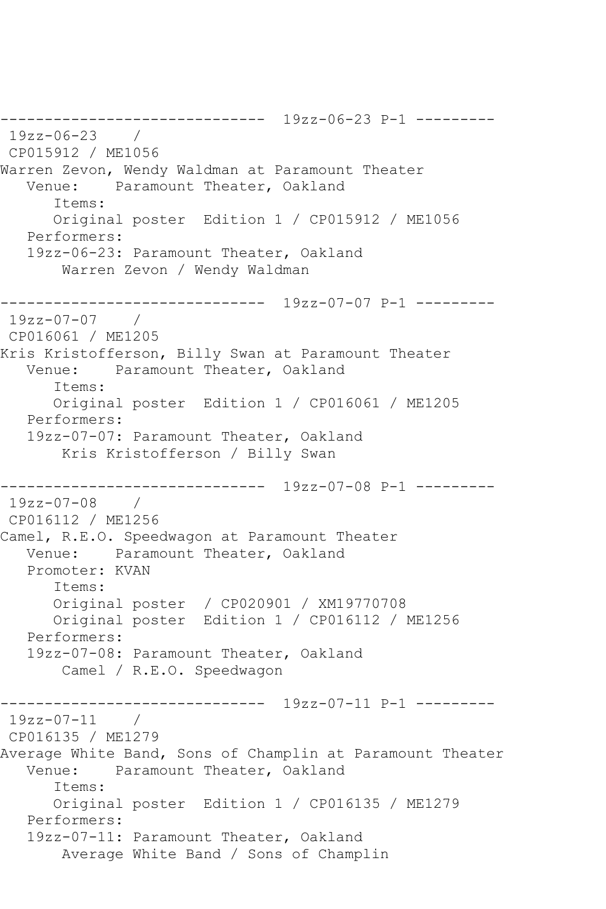------------------------------ 19zz-06-23 P-1 --------- 19zz-06-23 / CP015912 / ME1056 Warren Zevon, Wendy Waldman at Paramount Theater Venue: Paramount Theater, Oakland Items: Original poster Edition 1 / CP015912 / ME1056 Performers: 19zz-06-23: Paramount Theater, Oakland Warren Zevon / Wendy Waldman ------------------------------ 19zz-07-07 P-1 --------- 19zz-07-07 / CP016061 / ME1205 Kris Kristofferson, Billy Swan at Paramount Theater Venue: Paramount Theater, Oakland Items: Original poster Edition 1 / CP016061 / ME1205 Performers: 19zz-07-07: Paramount Theater, Oakland Kris Kristofferson / Billy Swan ------------------------------ 19zz-07-08 P-1 --------- 19zz-07-08 / CP016112 / ME1256 Camel, R.E.O. Speedwagon at Paramount Theater Venue: Paramount Theater, Oakland Promoter: KVAN Items: Original poster / CP020901 / XM19770708 Original poster Edition 1 / CP016112 / ME1256 Performers: 19zz-07-08: Paramount Theater, Oakland Camel / R.E.O. Speedwagon ------------------------------ 19zz-07-11 P-1 --------- 19zz-07-11 / CP016135 / ME1279 Average White Band, Sons of Champlin at Paramount Theater Venue: Paramount Theater, Oakland Items: Original poster Edition 1 / CP016135 / ME1279 Performers: 19zz-07-11: Paramount Theater, Oakland Average White Band / Sons of Champlin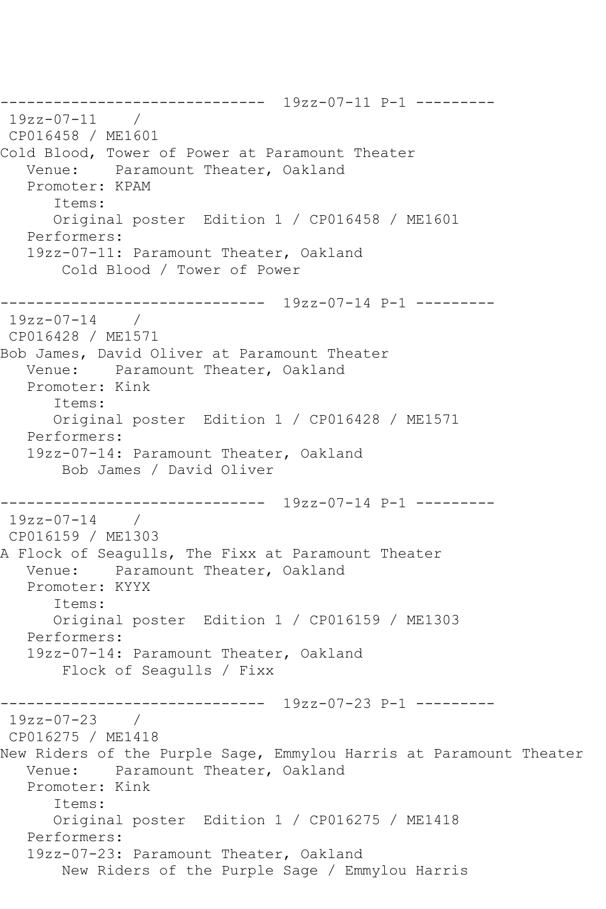------------------------------ 19zz-07-11 P-1 --------- 19zz-07-11 / CP016458 / ME1601 Cold Blood, Tower of Power at Paramount Theater Venue: Paramount Theater, Oakland Promoter: KPAM Items: Original poster Edition 1 / CP016458 / ME1601 Performers: 19zz-07-11: Paramount Theater, Oakland Cold Blood / Tower of Power ------------------------------ 19zz-07-14 P-1 --------- 19zz-07-14 / CP016428 / ME1571 Bob James, David Oliver at Paramount Theater Venue: Paramount Theater, Oakland Promoter: Kink Items: Original poster Edition 1 / CP016428 / ME1571 Performers: 19zz-07-14: Paramount Theater, Oakland Bob James / David Oliver ------------------------------ 19zz-07-14 P-1 --------- 19zz-07-14 / CP016159 / ME1303 A Flock of Seagulls, The Fixx at Paramount Theater Venue: Paramount Theater, Oakland Promoter: KYYX Items: Original poster Edition 1 / CP016159 / ME1303 Performers: 19zz-07-14: Paramount Theater, Oakland Flock of Seagulls / Fixx ------------------------------ 19zz-07-23 P-1 --------- 19zz-07-23 / CP016275 / ME1418 New Riders of the Purple Sage, Emmylou Harris at Paramount Theater<br>Venue: Paramount Theater, Oakland Paramount Theater, Oakland Promoter: Kink Items: Original poster Edition 1 / CP016275 / ME1418 Performers: 19zz-07-23: Paramount Theater, Oakland New Riders of the Purple Sage / Emmylou Harris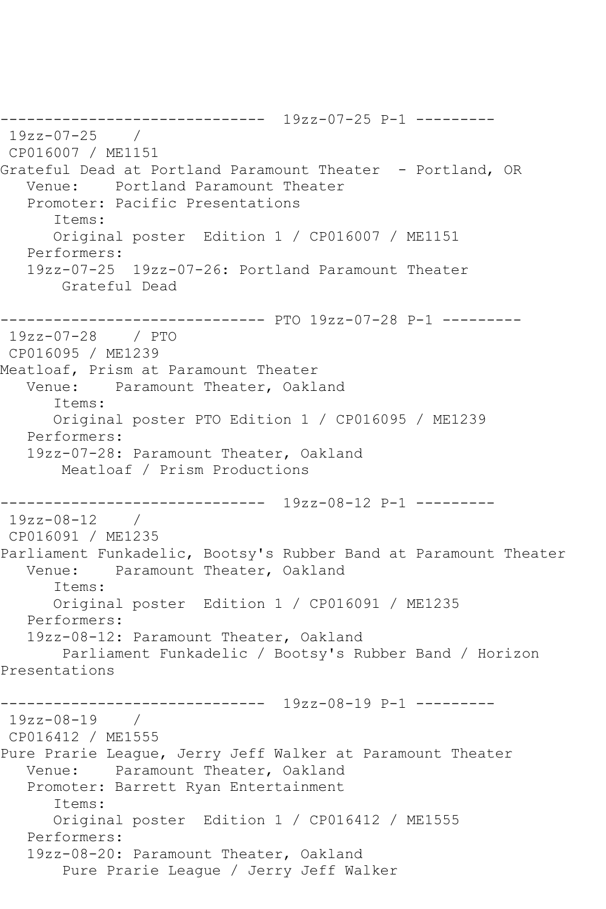------------------------------ 19zz-07-25 P-1 --------- 19zz-07-25 / CP016007 / ME1151 Grateful Dead at Portland Paramount Theater - Portland, OR Venue: Portland Paramount Theater Promoter: Pacific Presentations Items: Original poster Edition 1 / CP016007 / ME1151 Performers: 19zz-07-25 19zz-07-26: Portland Paramount Theater Grateful Dead ------------------------------ PTO 19zz-07-28 P-1 --------- 19zz-07-28 / PTO CP016095 / ME1239 Meatloaf, Prism at Paramount Theater Venue: Paramount Theater, Oakland Items: Original poster PTO Edition 1 / CP016095 / ME1239 Performers: 19zz-07-28: Paramount Theater, Oakland Meatloaf / Prism Productions ------------------------------ 19zz-08-12 P-1 --------- 19zz-08-12 / CP016091 / ME1235 Parliament Funkadelic, Bootsy's Rubber Band at Paramount Theater Venue: Paramount Theater, Oakland Items: Original poster Edition 1 / CP016091 / ME1235 Performers: 19zz-08-12: Paramount Theater, Oakland Parliament Funkadelic / Bootsy's Rubber Band / Horizon Presentations ------------------------------ 19zz-08-19 P-1 --------- 19zz-08-19 / CP016412 / ME1555 Pure Prarie League, Jerry Jeff Walker at Paramount Theater Venue: Paramount Theater, Oakland Promoter: Barrett Ryan Entertainment Items: Original poster Edition 1 / CP016412 / ME1555 Performers: 19zz-08-20: Paramount Theater, Oakland Pure Prarie League / Jerry Jeff Walker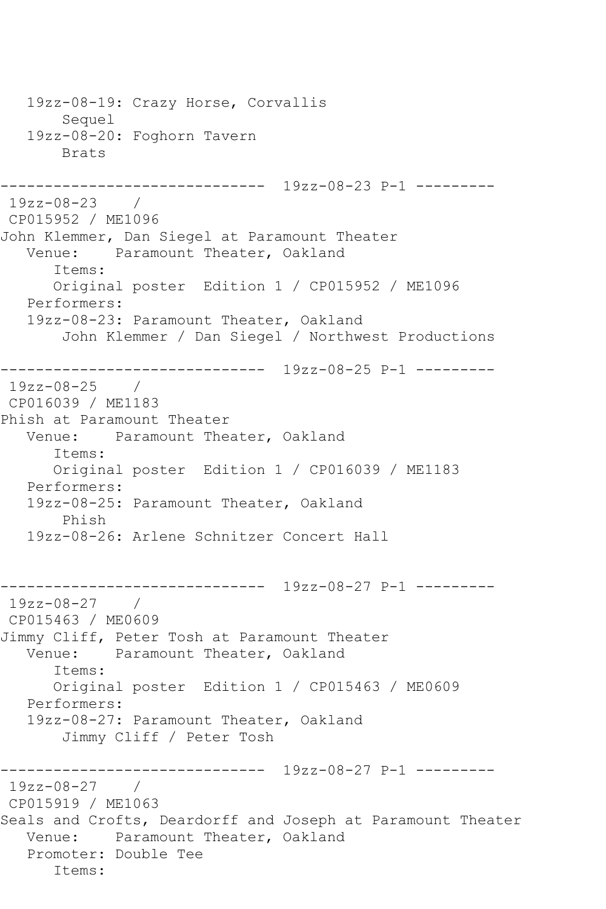19zz-08-19: Crazy Horse, Corvallis Sequel 19zz-08-20: Foghorn Tavern Brats ------------------------------ 19zz-08-23 P-1 --------- 19zz-08-23 / CP015952 / ME1096 John Klemmer, Dan Siegel at Paramount Theater Venue: Paramount Theater, Oakland Items: Original poster Edition 1 / CP015952 / ME1096 Performers: 19zz-08-23: Paramount Theater, Oakland John Klemmer / Dan Siegel / Northwest Productions ------------------------------ 19zz-08-25 P-1 --------- 19zz-08-25 / CP016039 / ME1183 Phish at Paramount Theater Venue: Paramount Theater, Oakland Items: Original poster Edition 1 / CP016039 / ME1183 Performers: 19zz-08-25: Paramount Theater, Oakland Phish 19zz-08-26: Arlene Schnitzer Concert Hall ------------------------------ 19zz-08-27 P-1 --------- 19zz-08-27 / CP015463 / ME0609 Jimmy Cliff, Peter Tosh at Paramount Theater Venue: Paramount Theater, Oakland Items: Original poster Edition 1 / CP015463 / ME0609 Performers: 19zz-08-27: Paramount Theater, Oakland Jimmy Cliff / Peter Tosh ------------------------------ 19zz-08-27 P-1 --------- 19zz-08-27 / CP015919 / ME1063 Seals and Crofts, Deardorff and Joseph at Paramount Theater Venue: Paramount Theater, Oakland Promoter: Double Tee Items: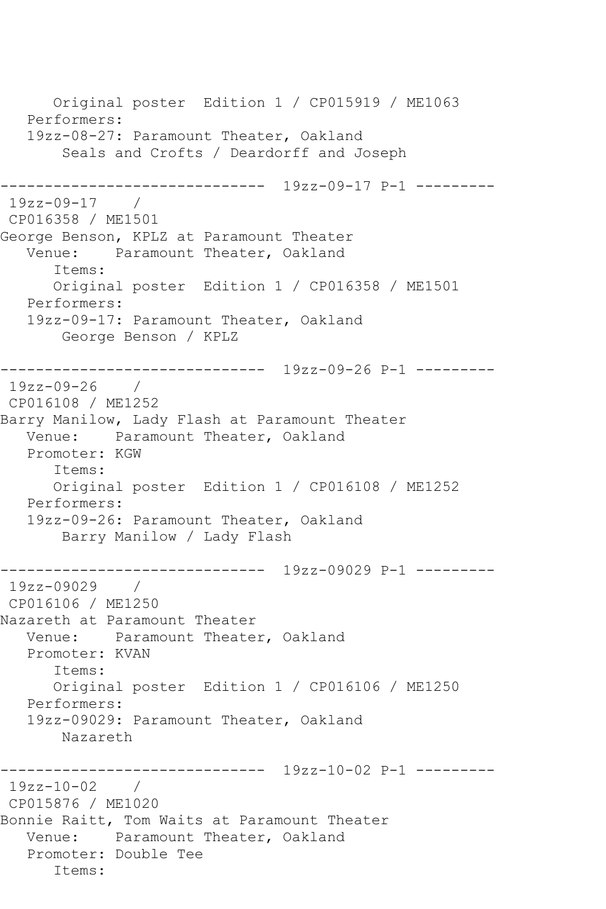Original poster Edition 1 / CP015919 / ME1063 Performers: 19zz-08-27: Paramount Theater, Oakland Seals and Crofts / Deardorff and Joseph ------------------------------ 19zz-09-17 P-1 --------- 19zz-09-17 / CP016358 / ME1501 George Benson, KPLZ at Paramount Theater Venue: Paramount Theater, Oakland Items: Original poster Edition 1 / CP016358 / ME1501 Performers: 19zz-09-17: Paramount Theater, Oakland George Benson / KPLZ ------------------------------ 19zz-09-26 P-1 --------- 19zz-09-26 / CP016108 / ME1252 Barry Manilow, Lady Flash at Paramount Theater Venue: Paramount Theater, Oakland Promoter: KGW Items: Original poster Edition 1 / CP016108 / ME1252 Performers: 19zz-09-26: Paramount Theater, Oakland Barry Manilow / Lady Flash ------------------------------ 19zz-09029 P-1 --------- 19zz-09029 / CP016106 / ME1250 Nazareth at Paramount Theater Venue: Paramount Theater, Oakland Promoter: KVAN Items: Original poster Edition 1 / CP016106 / ME1250 Performers: 19zz-09029: Paramount Theater, Oakland Nazareth ------------------------------ 19zz-10-02 P-1 --------- 19zz-10-02 / CP015876 / ME1020 Bonnie Raitt, Tom Waits at Paramount Theater Venue: Paramount Theater, Oakland Promoter: Double Tee Items: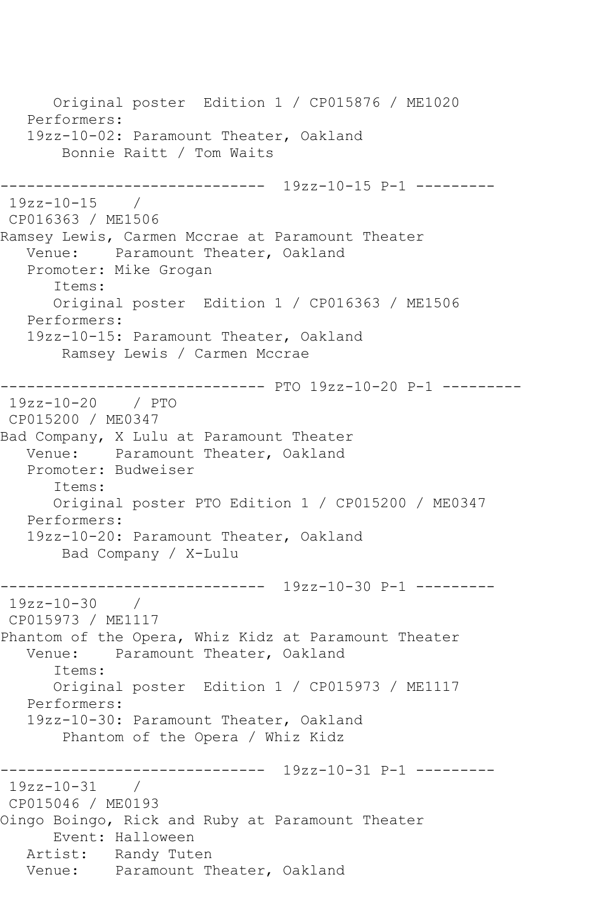Original poster Edition 1 / CP015876 / ME1020 Performers: 19zz-10-02: Paramount Theater, Oakland Bonnie Raitt / Tom Waits ------------------------------ 19zz-10-15 P-1 --------- 19zz-10-15 / CP016363 / ME1506 Ramsey Lewis, Carmen Mccrae at Paramount Theater Venue: Paramount Theater, Oakland Promoter: Mike Grogan Items: Original poster Edition 1 / CP016363 / ME1506 Performers: 19zz-10-15: Paramount Theater, Oakland Ramsey Lewis / Carmen Mccrae ------------------------------ PTO 19zz-10-20 P-1 --------- 19zz-10-20 / PTO CP015200 / ME0347 Bad Company, X Lulu at Paramount Theater Venue: Paramount Theater, Oakland Promoter: Budweiser Items: Original poster PTO Edition 1 / CP015200 / ME0347 Performers: 19zz-10-20: Paramount Theater, Oakland Bad Company / X-Lulu ------------------------------ 19zz-10-30 P-1 --------- 19zz-10-30 / CP015973 / ME1117 Phantom of the Opera, Whiz Kidz at Paramount Theater Venue: Paramount Theater, Oakland Items: Original poster Edition 1 / CP015973 / ME1117 Performers: 19zz-10-30: Paramount Theater, Oakland Phantom of the Opera / Whiz Kidz ------------------------------ 19zz-10-31 P-1 --------- 19zz-10-31 / CP015046 / ME0193 Oingo Boingo, Rick and Ruby at Paramount Theater Event: Halloween Artist: Randy Tuten Venue: Paramount Theater, Oakland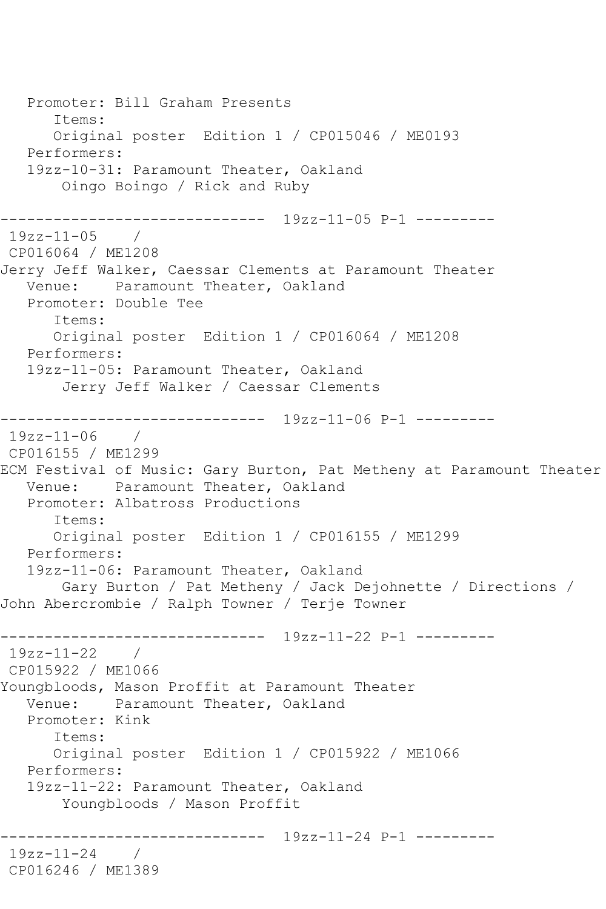```
 Promoter: Bill Graham Presents
       Items:
       Original poster Edition 1 / CP015046 / ME0193
   Performers:
   19zz-10-31: Paramount Theater, Oakland
        Oingo Boingo / Rick and Ruby
------------------------------ 19zz-11-05 P-1 ---------
19zz-11-05 /
CP016064 / ME1208
Jerry Jeff Walker, Caessar Clements at Paramount Theater
   Venue: Paramount Theater, Oakland
   Promoter: Double Tee
       Items:
      Original poster Edition 1 / CP016064 / ME1208
   Performers:
   19zz-11-05: Paramount Theater, Oakland
        Jerry Jeff Walker / Caessar Clements
   ------------------------------ 19zz-11-06 P-1 ---------
19zz-11-06 / 
CP016155 / ME1299
ECM Festival of Music: Gary Burton, Pat Metheny at Paramount Theater
   Venue: Paramount Theater, Oakland
   Promoter: Albatross Productions
       Items:
       Original poster Edition 1 / CP016155 / ME1299
   Performers:
   19zz-11-06: Paramount Theater, Oakland
       Gary Burton / Pat Metheny / Jack Dejohnette / Directions / 
John Abercrombie / Ralph Towner / Terje Towner
------------------------------ 19zz-11-22 P-1 ---------
19zz-11-22CP015922 / ME1066
Youngbloods, Mason Proffit at Paramount Theater
   Venue: Paramount Theater, Oakland
   Promoter: Kink
       Items:
       Original poster Edition 1 / CP015922 / ME1066
   Performers:
   19zz-11-22: Paramount Theater, Oakland
        Youngbloods / Mason Proffit
                    ------------------------------ 19zz-11-24 P-1 ---------
19zz-11-24 / 
CP016246 / ME1389
```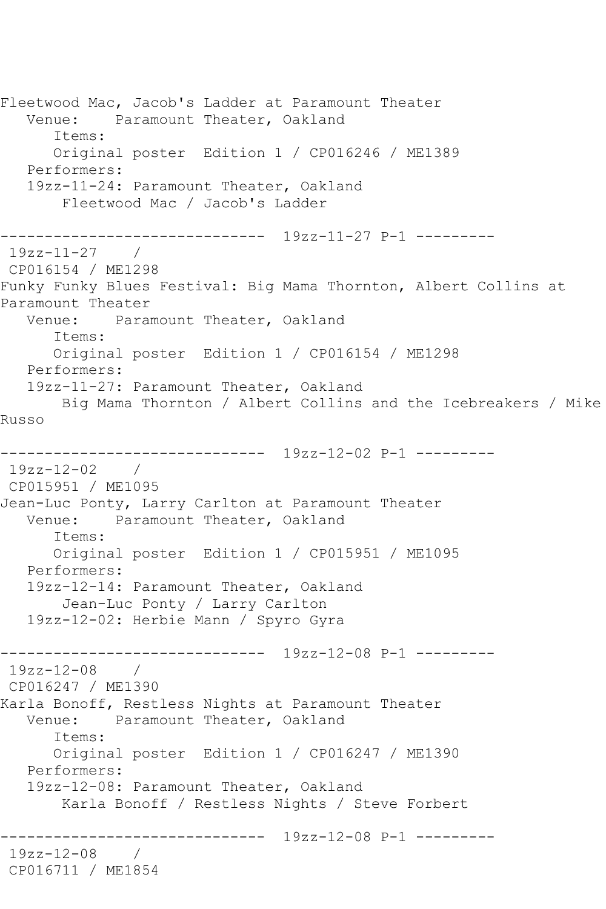Fleetwood Mac, Jacob's Ladder at Paramount Theater Venue: Paramount Theater, Oakland Items: Original poster Edition 1 / CP016246 / ME1389 Performers: 19zz-11-24: Paramount Theater, Oakland Fleetwood Mac / Jacob's Ladder ------------------------------ 19zz-11-27 P-1 --------- 19zz-11-27 / CP016154 / ME1298 Funky Funky Blues Festival: Big Mama Thornton, Albert Collins at Paramount Theater Venue: Paramount Theater, Oakland Items: Original poster Edition 1 / CP016154 / ME1298 Performers: 19zz-11-27: Paramount Theater, Oakland Big Mama Thornton / Albert Collins and the Icebreakers / Mike Russo ------------------------------ 19zz-12-02 P-1 --------- 19zz-12-02 / CP015951 / ME1095 Jean-Luc Ponty, Larry Carlton at Paramount Theater Venue: Paramount Theater, Oakland Items: Original poster Edition 1 / CP015951 / ME1095 Performers: 19zz-12-14: Paramount Theater, Oakland Jean-Luc Ponty / Larry Carlton 19zz-12-02: Herbie Mann / Spyro Gyra ------------------------------ 19zz-12-08 P-1 --------- 19zz-12-08 / CP016247 / ME1390 Karla Bonoff, Restless Nights at Paramount Theater Venue: Paramount Theater, Oakland Items: Original poster Edition 1 / CP016247 / ME1390 Performers: 19zz-12-08: Paramount Theater, Oakland Karla Bonoff / Restless Nights / Steve Forbert ------------------------------ 19zz-12-08 P-1 --------- 19zz-12-08 / CP016711 / ME1854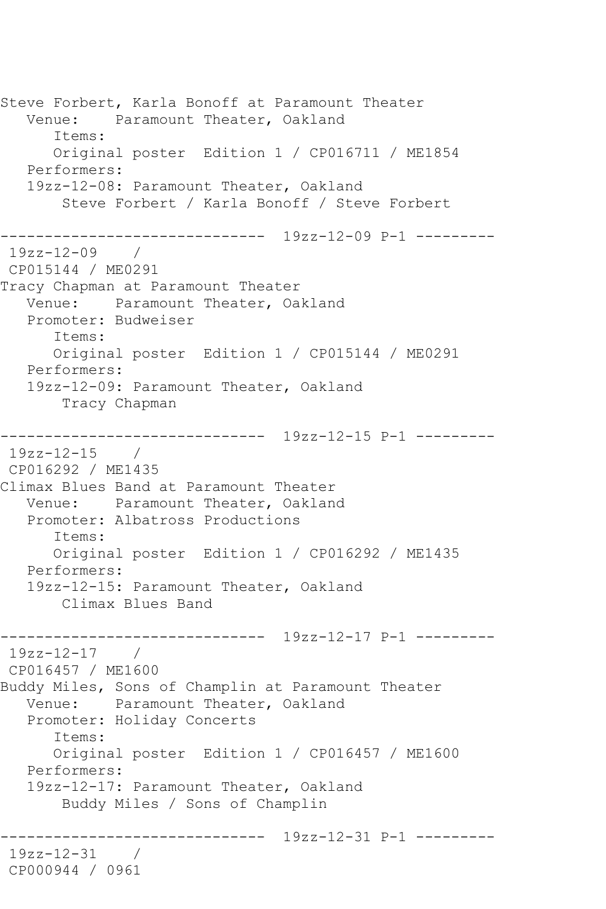Steve Forbert, Karla Bonoff at Paramount Theater Venue: Paramount Theater, Oakland Items: Original poster Edition 1 / CP016711 / ME1854 Performers: 19zz-12-08: Paramount Theater, Oakland Steve Forbert / Karla Bonoff / Steve Forbert ------------------------------ 19zz-12-09 P-1 --------- 19zz-12-09 / CP015144 / ME0291 Tracy Chapman at Paramount Theater Venue: Paramount Theater, Oakland Promoter: Budweiser Items: Original poster Edition 1 / CP015144 / ME0291 Performers: 19zz-12-09: Paramount Theater, Oakland Tracy Chapman ------------------------------ 19zz-12-15 P-1 --------- 19zz-12-15 / CP016292 / ME1435 Climax Blues Band at Paramount Theater Venue: Paramount Theater, Oakland Promoter: Albatross Productions Items: Original poster Edition 1 / CP016292 / ME1435 Performers: 19zz-12-15: Paramount Theater, Oakland Climax Blues Band ------------------------------ 19zz-12-17 P-1 --------- 19zz-12-17 / CP016457 / ME1600 Buddy Miles, Sons of Champlin at Paramount Theater Venue: Paramount Theater, Oakland Promoter: Holiday Concerts Items: Original poster Edition 1 / CP016457 / ME1600 Performers: 19zz-12-17: Paramount Theater, Oakland Buddy Miles / Sons of Champlin ------------------------------ 19zz-12-31 P-1 --------- 19zz-12-31 / CP000944 / 0961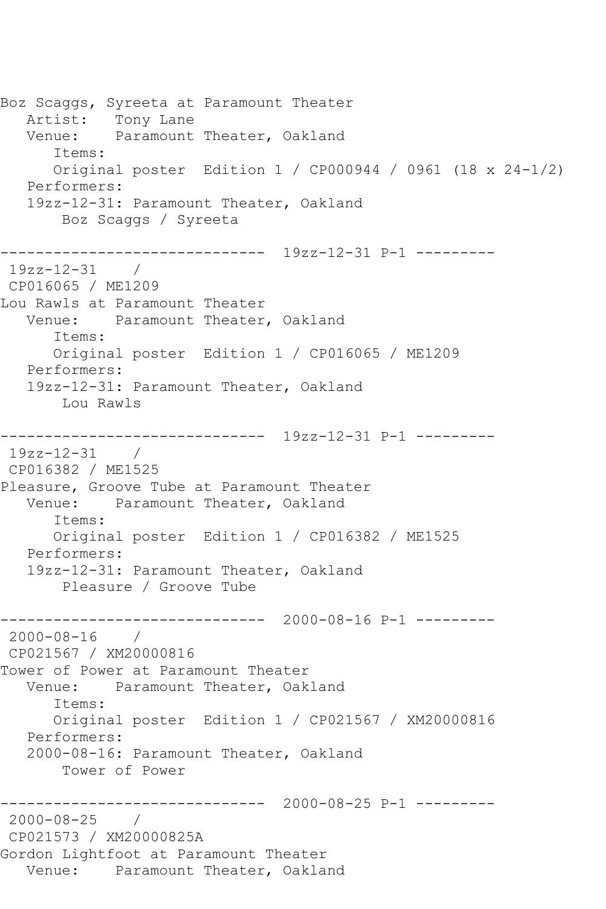Boz Scaggs, Syreeta at Paramount Theater Artist: Tony Lane Venue: Paramount Theater, Oakland Items: Original poster Edition 1 / CP000944 / 0961 (18 x 24-1/2) Performers: 19zz-12-31: Paramount Theater, Oakland Boz Scaggs / Syreeta ------------------------------ 19zz-12-31 P-1 --------- 19zz-12-31 / CP016065 / ME1209 Lou Rawls at Paramount Theater Venue: Paramount Theater, Oakland Items: Original poster Edition 1 / CP016065 / ME1209 Performers: 19zz-12-31: Paramount Theater, Oakland Lou Rawls ------------------------------ 19zz-12-31 P-1 --------- 19zz-12-31 / CP016382 / ME1525 Pleasure, Groove Tube at Paramount Theater Venue: Paramount Theater, Oakland Items: Original poster Edition 1 / CP016382 / ME1525 Performers: 19zz-12-31: Paramount Theater, Oakland Pleasure / Groove Tube ------------------------------ 2000-08-16 P-1 --------- 2000-08-16 / CP021567 / XM20000816 Tower of Power at Paramount Theater Venue: Paramount Theater, Oakland Items: Original poster Edition 1 / CP021567 / XM20000816 Performers: 2000-08-16: Paramount Theater, Oakland Tower of Power ------------------------------ 2000-08-25 P-1 --------- 2000-08-25 / CP021573 / XM20000825A Gordon Lightfoot at Paramount Theater Venue: Paramount Theater, Oakland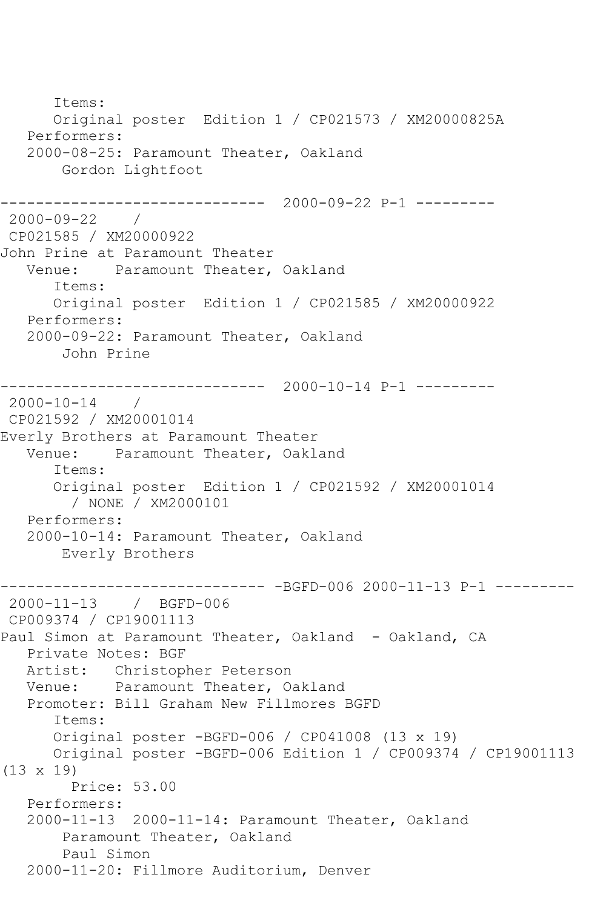Items: Original poster Edition 1 / CP021573 / XM20000825A Performers: 2000-08-25: Paramount Theater, Oakland Gordon Lightfoot ------------------------------ 2000-09-22 P-1 --------- 2000-09-22 / CP021585 / XM20000922 John Prine at Paramount Theater Venue: Paramount Theater, Oakland Items: Original poster Edition 1 / CP021585 / XM20000922 Performers: 2000-09-22: Paramount Theater, Oakland John Prine ------------------------------ 2000-10-14 P-1 ---------  $2000 - 10 - 14$ CP021592 / XM20001014 Everly Brothers at Paramount Theater Venue: Paramount Theater, Oakland Items: Original poster Edition 1 / CP021592 / XM20001014 / NONE / XM2000101 Performers: 2000-10-14: Paramount Theater, Oakland Everly Brothers ------------------------------ -BGFD-006 2000-11-13 P-1 --------- 2000-11-13 / BGFD-006 CP009374 / CP19001113 Paul Simon at Paramount Theater, Oakland - Oakland, CA Private Notes: BGF Artist: Christopher Peterson Venue: Paramount Theater, Oakland Promoter: Bill Graham New Fillmores BGFD Items: Original poster -BGFD-006 / CP041008 (13 x 19) Original poster -BGFD-006 Edition 1 / CP009374 / CP19001113 (13 x 19) Price: 53.00 Performers: 2000-11-13 2000-11-14: Paramount Theater, Oakland Paramount Theater, Oakland Paul Simon 2000-11-20: Fillmore Auditorium, Denver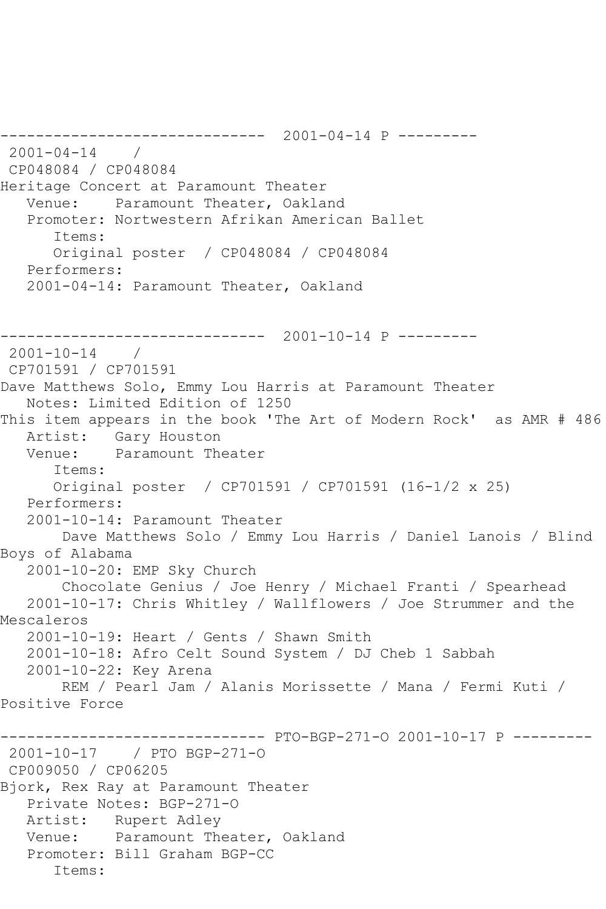------------------------------ 2001-04-14 P --------- 2001-04-14 / CP048084 / CP048084 Heritage Concert at Paramount Theater Venue: Paramount Theater, Oakland Promoter: Nortwestern Afrikan American Ballet Items: Original poster / CP048084 / CP048084 Performers: 2001-04-14: Paramount Theater, Oakland ------------------------------ 2001-10-14 P --------- 2001-10-14 / CP701591 / CP701591 Dave Matthews Solo, Emmy Lou Harris at Paramount Theater Notes: Limited Edition of 1250 This item appears in the book 'The Art of Modern Rock' as AMR # 486 Artist: Gary Houston Venue: Paramount Theater Items: Original poster / CP701591 / CP701591 (16-1/2 x 25) Performers: 2001-10-14: Paramount Theater Dave Matthews Solo / Emmy Lou Harris / Daniel Lanois / Blind Boys of Alabama 2001-10-20: EMP Sky Church Chocolate Genius / Joe Henry / Michael Franti / Spearhead 2001-10-17: Chris Whitley / Wallflowers / Joe Strummer and the Mescaleros 2001-10-19: Heart / Gents / Shawn Smith 2001-10-18: Afro Celt Sound System / DJ Cheb 1 Sabbah 2001-10-22: Key Arena REM / Pearl Jam / Alanis Morissette / Mana / Fermi Kuti / Positive Force ------------------------------ PTO-BGP-271-O 2001-10-17 P --------- 2001-10-17 / PTO BGP-271-O CP009050 / CP06205 Bjork, Rex Ray at Paramount Theater Private Notes: BGP-271-O Artist: Rupert Adley Venue: Paramount Theater, Oakland Promoter: Bill Graham BGP-CC Items: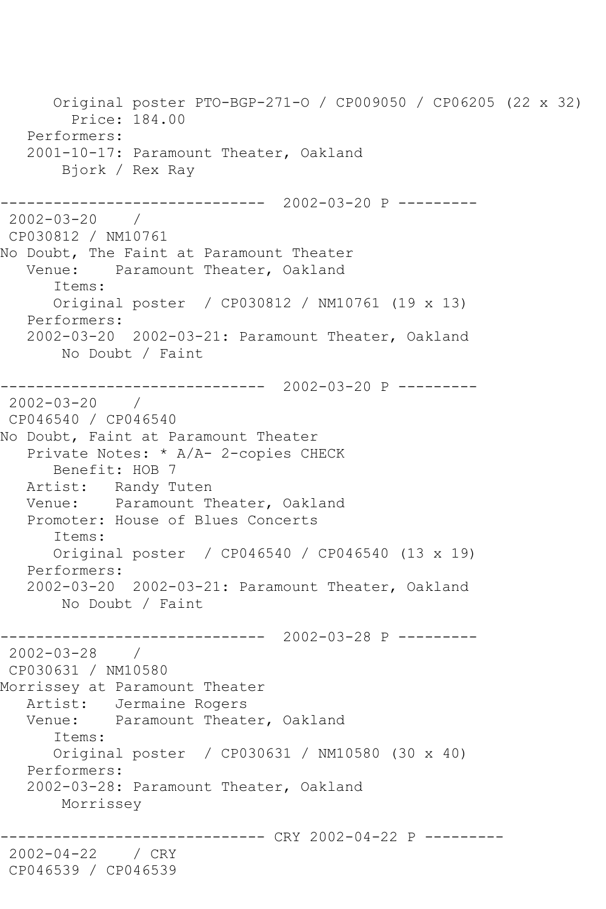Original poster PTO-BGP-271-O / CP009050 / CP06205 (22 x 32) Price: 184.00 Performers: 2001-10-17: Paramount Theater, Oakland Bjork / Rex Ray ------------------------------ 2002-03-20 P --------- 2002-03-20 / CP030812 / NM10761 No Doubt, The Faint at Paramount Theater Venue: Paramount Theater, Oakland Items: Original poster / CP030812 / NM10761 (19 x 13) Performers: 2002-03-20 2002-03-21: Paramount Theater, Oakland No Doubt / Faint ------------------------------ 2002-03-20 P --------- 2002-03-20 / CP046540 / CP046540 No Doubt, Faint at Paramount Theater Private Notes: \* A/A- 2-copies CHECK Benefit: HOB 7 Artist: Randy Tuten Venue: Paramount Theater, Oakland Promoter: House of Blues Concerts Items: Original poster / CP046540 / CP046540 (13 x 19) Performers: 2002-03-20 2002-03-21: Paramount Theater, Oakland No Doubt / Faint ------------------------------ 2002-03-28 P ---------  $2002 - 03 - 28$ CP030631 / NM10580 Morrissey at Paramount Theater Artist: Jermaine Rogers Venue: Paramount Theater, Oakland Items: Original poster / CP030631 / NM10580 (30 x 40) Performers: 2002-03-28: Paramount Theater, Oakland Morrissey ----------- CRY 2002-04-22 P ---------2002-04-22 / CRY CP046539 / CP046539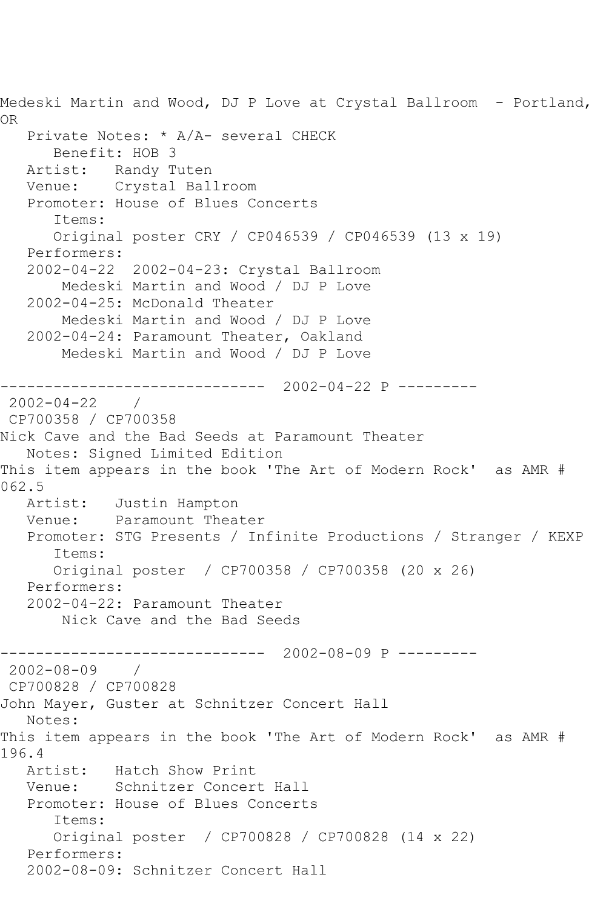Medeski Martin and Wood, DJ P Love at Crystal Ballroom - Portland, OR Private Notes: \* A/A- several CHECK Benefit: HOB 3 Artist: Randy Tuten Venue: Crystal Ballroom Promoter: House of Blues Concerts Items: Original poster CRY / CP046539 / CP046539 (13 x 19) Performers: 2002-04-22 2002-04-23: Crystal Ballroom Medeski Martin and Wood / DJ P Love 2002-04-25: McDonald Theater Medeski Martin and Wood / DJ P Love 2002-04-24: Paramount Theater, Oakland Medeski Martin and Wood / DJ P Love ------------------------------ 2002-04-22 P --------- 2002-04-22 / CP700358 / CP700358 Nick Cave and the Bad Seeds at Paramount Theater Notes: Signed Limited Edition This item appears in the book 'The Art of Modern Rock' as AMR # 062.5 Artist: Justin Hampton Venue: Paramount Theater Promoter: STG Presents / Infinite Productions / Stranger / KEXP Items: Original poster / CP700358 / CP700358 (20 x 26) Performers: 2002-04-22: Paramount Theater Nick Cave and the Bad Seeds ------------------------------ 2002-08-09 P --------- 2002-08-09 / CP700828 / CP700828 John Mayer, Guster at Schnitzer Concert Hall Notes: This item appears in the book 'The Art of Modern Rock' as AMR # 196.4 Artist: Hatch Show Print Venue: Schnitzer Concert Hall Promoter: House of Blues Concerts Items: Original poster / CP700828 / CP700828 (14 x 22) Performers: 2002-08-09: Schnitzer Concert Hall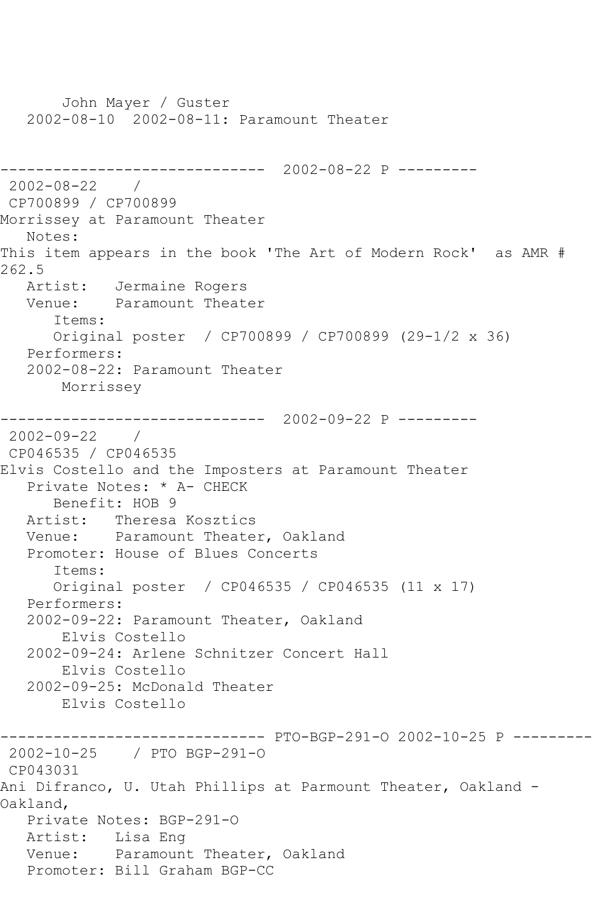John Mayer / Guster 2002-08-10 2002-08-11: Paramount Theater ------------------------------ 2002-08-22 P --------- 2002-08-22 / CP700899 / CP700899 Morrissey at Paramount Theater Notes: This item appears in the book 'The Art of Modern Rock' as AMR # 262.5 Artist: Jermaine Rogers<br>Venue: Paramount Theate Paramount Theater Items: Original poster / CP700899 / CP700899 (29-1/2 x 36) Performers: 2002-08-22: Paramount Theater Morrissey ------------------------------ 2002-09-22 P --------- 2002-09-22 / CP046535 / CP046535 Elvis Costello and the Imposters at Paramount Theater Private Notes: \* A- CHECK Benefit: HOB 9 Artist: Theresa Kosztics Venue: Paramount Theater, Oakland Promoter: House of Blues Concerts Items: Original poster / CP046535 / CP046535 (11 x 17) Performers: 2002-09-22: Paramount Theater, Oakland Elvis Costello 2002-09-24: Arlene Schnitzer Concert Hall Elvis Costello 2002-09-25: McDonald Theater Elvis Costello ------------------------------ PTO-BGP-291-O 2002-10-25 P --------- 2002-10-25 / PTO BGP-291-O CP043031 Ani Difranco, U. Utah Phillips at Parmount Theater, Oakland - Oakland, Private Notes: BGP-291-O Artist: Lisa Eng Venue: Paramount Theater, Oakland Promoter: Bill Graham BGP-CC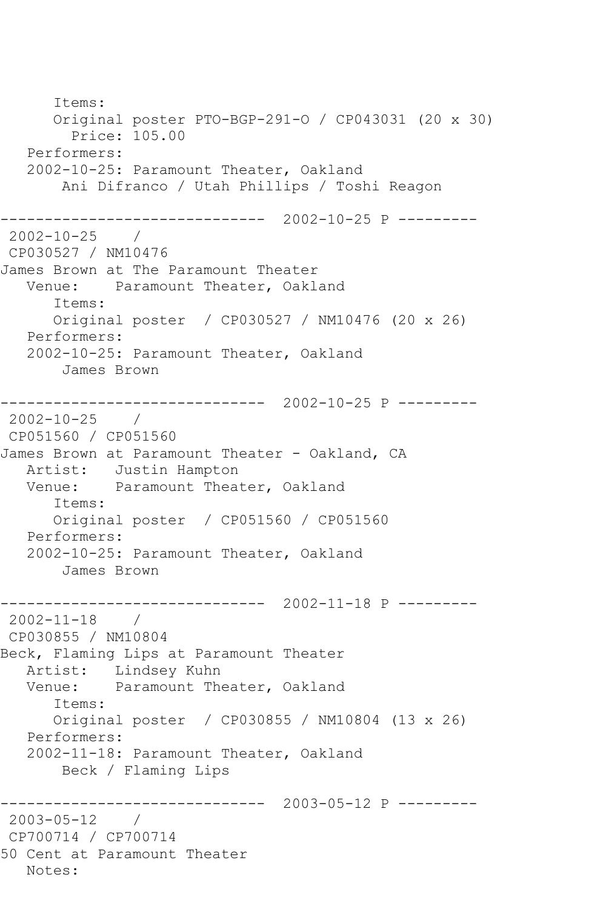Items: Original poster PTO-BGP-291-O / CP043031 (20 x 30) Price: 105.00 Performers: 2002-10-25: Paramount Theater, Oakland Ani Difranco / Utah Phillips / Toshi Reagon ------------------------------ 2002-10-25 P --------- 2002-10-25 / CP030527 / NM10476 James Brown at The Paramount Theater Venue: Paramount Theater, Oakland Items: Original poster / CP030527 / NM10476 (20 x 26) Performers: 2002-10-25: Paramount Theater, Oakland James Brown ------------------------------ 2002-10-25 P --------- 2002-10-25 / CP051560 / CP051560 James Brown at Paramount Theater - Oakland, CA Artist: Justin Hampton Venue: Paramount Theater, Oakland Items: Original poster / CP051560 / CP051560 Performers: 2002-10-25: Paramount Theater, Oakland James Brown ------------------------------ 2002-11-18 P --------- 2002-11-18 / CP030855 / NM10804 Beck, Flaming Lips at Paramount Theater Artist: Lindsey Kuhn Venue: Paramount Theater, Oakland Items: Original poster / CP030855 / NM10804 (13 x 26) Performers: 2002-11-18: Paramount Theater, Oakland Beck / Flaming Lips ------------------------------ 2003-05-12 P --------- 2003-05-12 / CP700714 / CP700714 50 Cent at Paramount Theater Notes: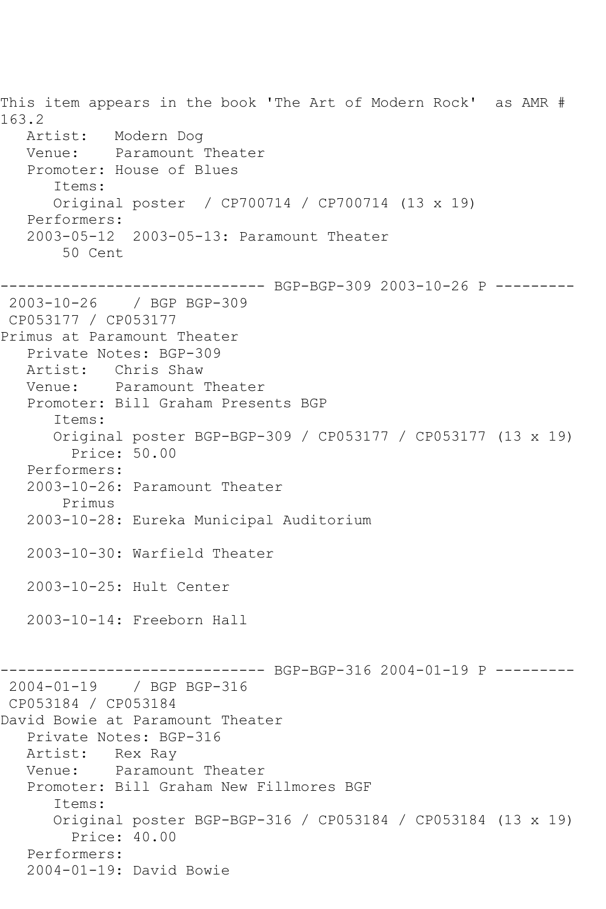This item appears in the book 'The Art of Modern Rock' as AMR # 163.2 Artist: Modern Dog Venue: Paramount Theater Promoter: House of Blues Items: Original poster / CP700714 / CP700714 (13 x 19) Performers: 2003-05-12 2003-05-13: Paramount Theater 50 Cent ------------------------------ BGP-BGP-309 2003-10-26 P --------- 2003-10-26 / BGP BGP-309 CP053177 / CP053177 Primus at Paramount Theater Private Notes: BGP-309 Artist: Chris Shaw Venue: Paramount Theater Promoter: Bill Graham Presents BGP Items: Original poster BGP-BGP-309 / CP053177 / CP053177 (13 x 19) Price: 50.00 Performers: 2003-10-26: Paramount Theater Primus 2003-10-28: Eureka Municipal Auditorium 2003-10-30: Warfield Theater 2003-10-25: Hult Center 2003-10-14: Freeborn Hall ------- BGP-BGP-316 2004-01-19 P ---------2004-01-19 / BGP BGP-316 CP053184 / CP053184 David Bowie at Paramount Theater Private Notes: BGP-316 Artist: Rex Ray Venue: Paramount Theater Promoter: Bill Graham New Fillmores BGF Items: Original poster BGP-BGP-316 / CP053184 / CP053184 (13 x 19) Price: 40.00 Performers: 2004-01-19: David Bowie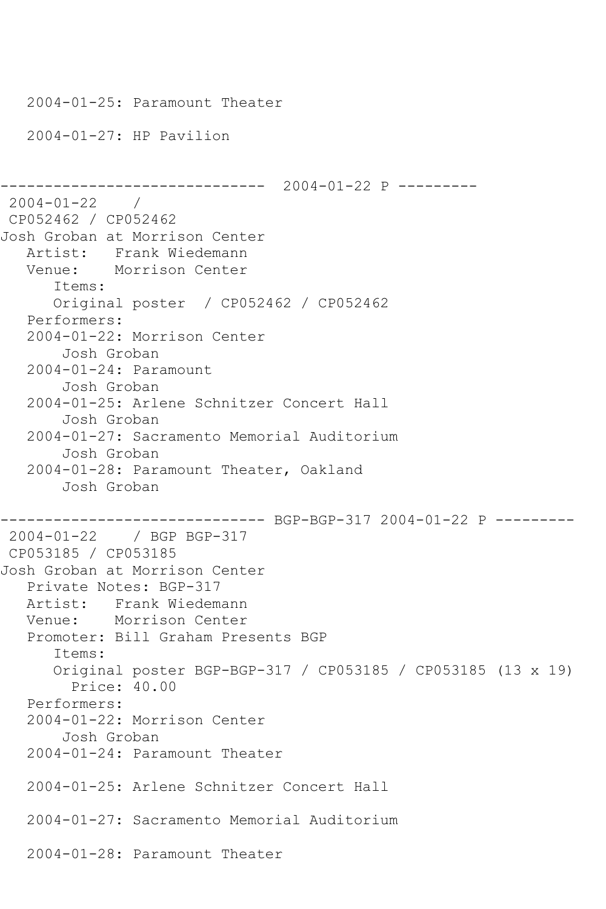```
 2004-01-25: Paramount Theater
    2004-01-27: HP Pavilion
                   ------------------------------ 2004-01-22 P ---------
2004-01-22 / 
CP052462 / CP052462
Josh Groban at Morrison Center
   Artist: Frank Wiedemann
   Venue: Morrison Center
       Items:
       Original poster / CP052462 / CP052462
    Performers:
    2004-01-22: Morrison Center
        Josh Groban
    2004-01-24: Paramount
        Josh Groban
    2004-01-25: Arlene Schnitzer Concert Hall
        Josh Groban
    2004-01-27: Sacramento Memorial Auditorium
        Josh Groban
    2004-01-28: Paramount Theater, Oakland
        Josh Groban
------------------------------ BGP-BGP-317 2004-01-22 P ---------
2004-01-22 / BGP BGP-317
CP053185 / CP053185
Josh Groban at Morrison Center
    Private Notes: BGP-317
   Artist: Frank Wiedemann
   Venue: Morrison Center
    Promoter: Bill Graham Presents BGP
       Items:
       Original poster BGP-BGP-317 / CP053185 / CP053185 (13 x 19)
         Price: 40.00
    Performers:
    2004-01-22: Morrison Center
        Josh Groban
    2004-01-24: Paramount Theater
    2004-01-25: Arlene Schnitzer Concert Hall
    2004-01-27: Sacramento Memorial Auditorium
    2004-01-28: Paramount Theater
```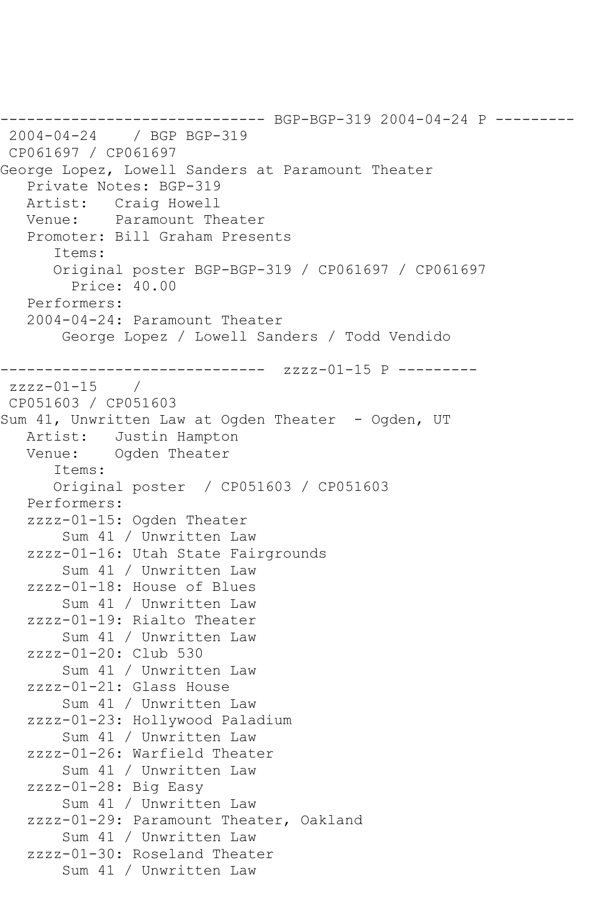------------------------------ BGP-BGP-319 2004-04-24 P --------- 2004-04-24 / BGP BGP-319 CP061697 / CP061697 George Lopez, Lowell Sanders at Paramount Theater Private Notes: BGP-319 Artist: Craig Howell Venue: Paramount Theater Promoter: Bill Graham Presents Items: Original poster BGP-BGP-319 / CP061697 / CP061697 Price: 40.00 Performers: 2004-04-24: Paramount Theater George Lopez / Lowell Sanders / Todd Vendido ------------------------------ zzzz-01-15 P --------  $zzzz-01-15$ CP051603 / CP051603 Sum 41, Unwritten Law at Ogden Theater - Ogden, UT Artist: Justin Hampton Venue: Ogden Theater Items: Original poster / CP051603 / CP051603 Performers: zzzz-01-15: Ogden Theater Sum 41 / Unwritten Law zzzz-01-16: Utah State Fairgrounds Sum 41 / Unwritten Law zzzz-01-18: House of Blues Sum 41 / Unwritten Law zzzz-01-19: Rialto Theater Sum 41 / Unwritten Law zzzz-01-20: Club 530 Sum 41 / Unwritten Law zzzz-01-21: Glass House Sum 41 / Unwritten Law zzzz-01-23: Hollywood Paladium Sum 41 / Unwritten Law zzzz-01-26: Warfield Theater Sum 41 / Unwritten Law zzzz-01-28: Big Easy Sum 41 / Unwritten Law zzzz-01-29: Paramount Theater, Oakland Sum 41 / Unwritten Law zzzz-01-30: Roseland Theater Sum 41 / Unwritten Law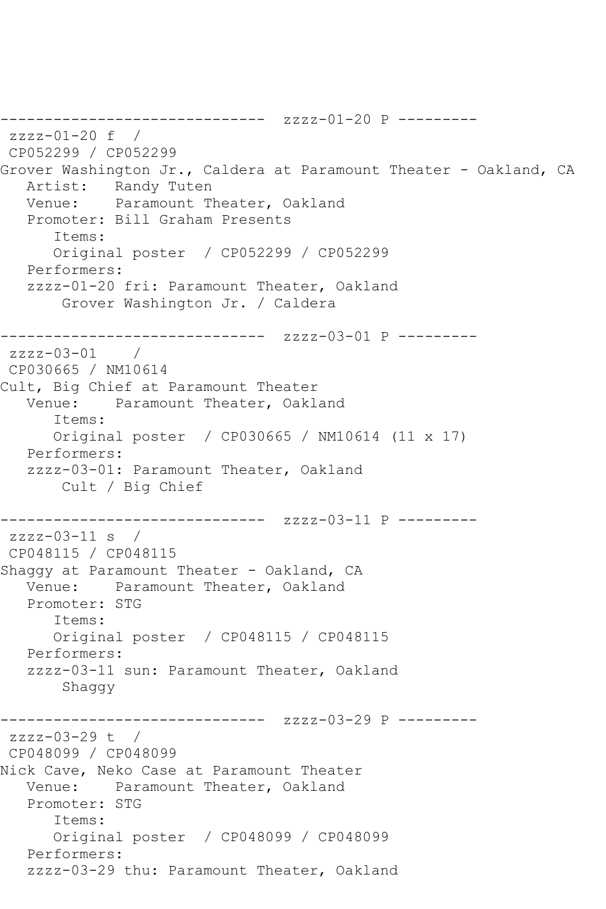```
------------------------------ zzzz-01-20 P ---------
zzzz-01-20 f / 
CP052299 / CP052299
Grover Washington Jr., Caldera at Paramount Theater - Oakland, CA
   Artist: Randy Tuten
   Venue: Paramount Theater, Oakland
   Promoter: Bill Graham Presents
      Items:
      Original poster / CP052299 / CP052299
   Performers:
   zzzz-01-20 fri: Paramount Theater, Oakland
       Grover Washington Jr. / Caldera
------------------------------ zzzz-03-01 P ---------
zzzz-03-01 / 
CP030665 / NM10614
Cult, Big Chief at Paramount Theater
   Venue: Paramount Theater, Oakland
      Items:
      Original poster / CP030665 / NM10614 (11 x 17)
   Performers:
   zzzz-03-01: Paramount Theater, Oakland
       Cult / Big Chief
------------------------------ zzzz-03-11 P ---------
zzzz-03-11 s / 
CP048115 / CP048115
Shaggy at Paramount Theater - Oakland, CA
   Venue: Paramount Theater, Oakland
   Promoter: STG
      Items:
      Original poster / CP048115 / CP048115
   Performers:
   zzzz-03-11 sun: Paramount Theater, Oakland
       Shaggy
------------------------------ zzzz-03-29 P ---------
zzzz-03-29 t / 
CP048099 / CP048099
Nick Cave, Neko Case at Paramount Theater
   Venue: Paramount Theater, Oakland
   Promoter: STG
      Items:
      Original poster / CP048099 / CP048099
   Performers:
   zzzz-03-29 thu: Paramount Theater, Oakland
```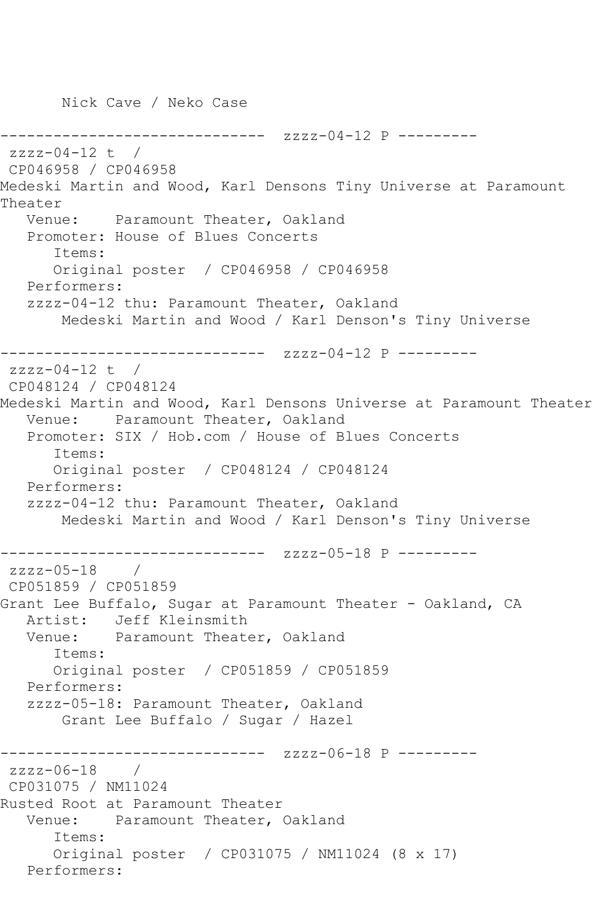Nick Cave / Neko Case

--------------- zzzz-04-12 P --------zzzz-04-12 t / CP046958 / CP046958 Medeski Martin and Wood, Karl Densons Tiny Universe at Paramount Theater Venue: Paramount Theater, Oakland Promoter: House of Blues Concerts Items: Original poster / CP046958 / CP046958 Performers: zzzz-04-12 thu: Paramount Theater, Oakland Medeski Martin and Wood / Karl Denson's Tiny Universe ------------------------------ zzzz-04-12 P --------  $zzzz-04-12$  t / CP048124 / CP048124 Medeski Martin and Wood, Karl Densons Universe at Paramount Theater Venue: Paramount Theater, Oakland Promoter: SIX / Hob.com / House of Blues Concerts Items: Original poster / CP048124 / CP048124 Performers: zzzz-04-12 thu: Paramount Theater, Oakland Medeski Martin and Wood / Karl Denson's Tiny Universe ------------------------------ zzzz-05-18 P -------- zzzz-05-18 / CP051859 / CP051859 Grant Lee Buffalo, Sugar at Paramount Theater - Oakland, CA Artist: Jeff Kleinsmith Venue: Paramount Theater, Oakland Items: Original poster / CP051859 / CP051859 Performers: zzzz-05-18: Paramount Theater, Oakland Grant Lee Buffalo / Sugar / Hazel ------------------------------ zzzz-06-18 P -------- zzzz-06-18 / CP031075 / NM11024 Rusted Root at Paramount Theater Venue: Paramount Theater, Oakland Items: Original poster / CP031075 / NM11024 (8 x 17) Performers: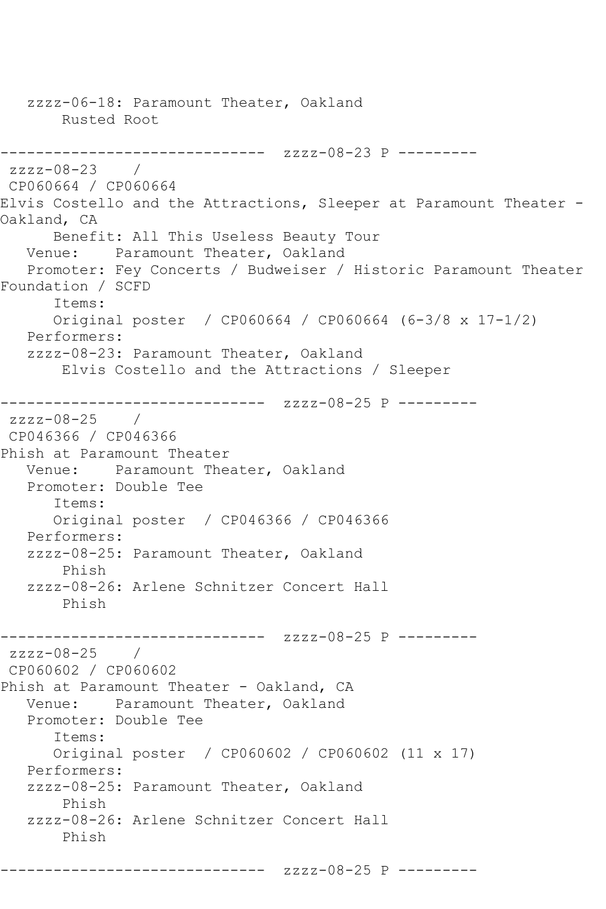zzzz-06-18: Paramount Theater, Oakland Rusted Root ------------------------------ zzzz-08-23 P -------- zzzz-08-23 / CP060664 / CP060664 Elvis Costello and the Attractions, Sleeper at Paramount Theater - Oakland, CA Benefit: All This Useless Beauty Tour Venue: Paramount Theater, Oakland Promoter: Fey Concerts / Budweiser / Historic Paramount Theater Foundation / SCFD Items: Original poster / CP060664 / CP060664 (6-3/8 x 17-1/2) Performers: zzzz-08-23: Paramount Theater, Oakland Elvis Costello and the Attractions / Sleeper ------------------------------ zzzz-08-25 P -------- zzzz-08-25 / CP046366 / CP046366 Phish at Paramount Theater Venue: Paramount Theater, Oakland Promoter: Double Tee Items: Original poster / CP046366 / CP046366 Performers: zzzz-08-25: Paramount Theater, Oakland Phish zzzz-08-26: Arlene Schnitzer Concert Hall Phish ------------------------------ zzzz-08-25 P --------  $zzzz-08-25$  / CP060602 / CP060602 Phish at Paramount Theater - Oakland, CA Venue: Paramount Theater, Oakland Promoter: Double Tee Items: Original poster / CP060602 / CP060602 (11 x 17) Performers: zzzz-08-25: Paramount Theater, Oakland Phish zzzz-08-26: Arlene Schnitzer Concert Hall Phish

------------------------------ zzzz-08-25 P ---------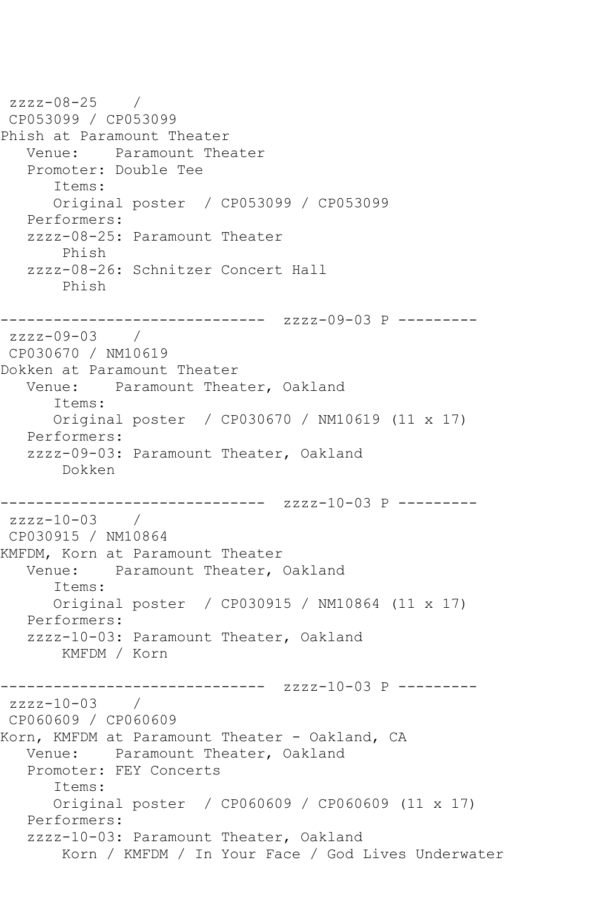```
zzzz-08-25 / 
CP053099 / CP053099
Phish at Paramount Theater
   Venue: Paramount Theater
   Promoter: Double Tee
      Items:
      Original poster / CP053099 / CP053099
   Performers:
   zzzz-08-25: Paramount Theater
       Phish
   zzzz-08-26: Schnitzer Concert Hall
       Phish
------------------------------ zzzz-09-03 P ---------
zzzz-09-03 / 
CP030670 / NM10619
Dokken at Paramount Theater
   Venue: Paramount Theater, Oakland
      Items:
      Original poster / CP030670 / NM10619 (11 x 17)
   Performers:
   zzzz-09-03: Paramount Theater, Oakland
       Dokken
------------------------------ zzzz-10-03 P ---------
zzzz-10-03 / 
CP030915 / NM10864
KMFDM, Korn at Paramount Theater
   Venue: Paramount Theater, Oakland
      Items:
      Original poster / CP030915 / NM10864 (11 x 17)
   Performers:
   zzzz-10-03: Paramount Theater, Oakland
       KMFDM / Korn
------------------------------ zzzz-10-03 P ---------
zzzz-10-03 / 
CP060609 / CP060609
Korn, KMFDM at Paramount Theater - Oakland, CA
   Venue: Paramount Theater, Oakland
   Promoter: FEY Concerts
      Items:
      Original poster / CP060609 / CP060609 (11 x 17)
   Performers:
   zzzz-10-03: Paramount Theater, Oakland
       Korn / KMFDM / In Your Face / God Lives Underwater
```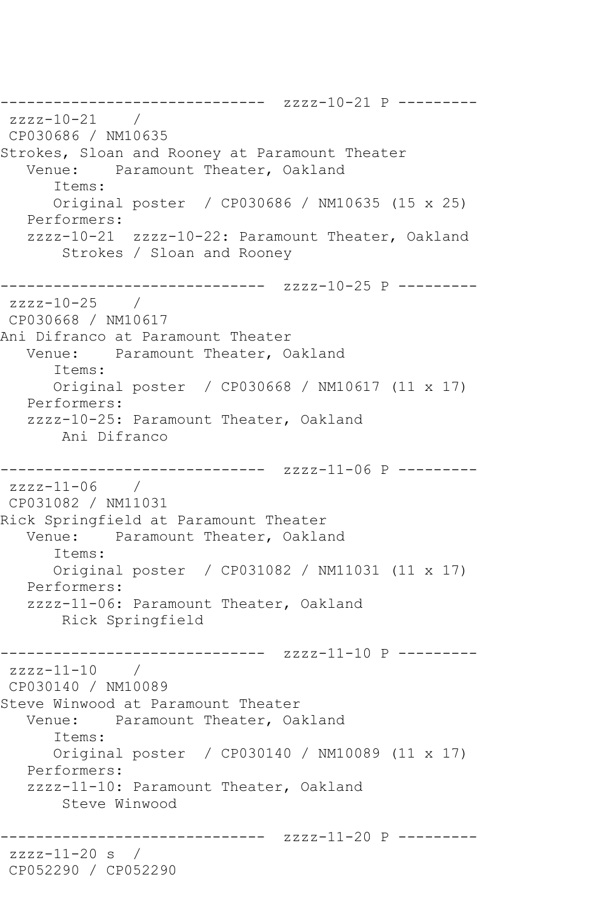------------------------------ zzzz-10-21 P -------- zzzz-10-21 / CP030686 / NM10635 Strokes, Sloan and Rooney at Paramount Theater Venue: Paramount Theater, Oakland Items: Original poster / CP030686 / NM10635 (15 x 25) Performers: zzzz-10-21 zzzz-10-22: Paramount Theater, Oakland Strokes / Sloan and Rooney ------------------------------ zzzz-10-25 P -------- zzzz-10-25 / CP030668 / NM10617 Ani Difranco at Paramount Theater Venue: Paramount Theater, Oakland Items: Original poster / CP030668 / NM10617 (11 x 17) Performers: zzzz-10-25: Paramount Theater, Oakland Ani Difranco ------------------------------ zzzz-11-06 P -------- zzzz-11-06 / CP031082 / NM11031 Rick Springfield at Paramount Theater Venue: Paramount Theater, Oakland Items: Original poster / CP031082 / NM11031 (11 x 17) Performers: zzzz-11-06: Paramount Theater, Oakland Rick Springfield ------------------------------ zzzz-11-10 P -------- zzzz-11-10 / CP030140 / NM10089 Steve Winwood at Paramount Theater Venue: Paramount Theater, Oakland Items: Original poster / CP030140 / NM10089 (11 x 17) Performers: zzzz-11-10: Paramount Theater, Oakland Steve Winwood ------------------------------ zzzz-11-20 P -------- zzzz-11-20 s / CP052290 / CP052290